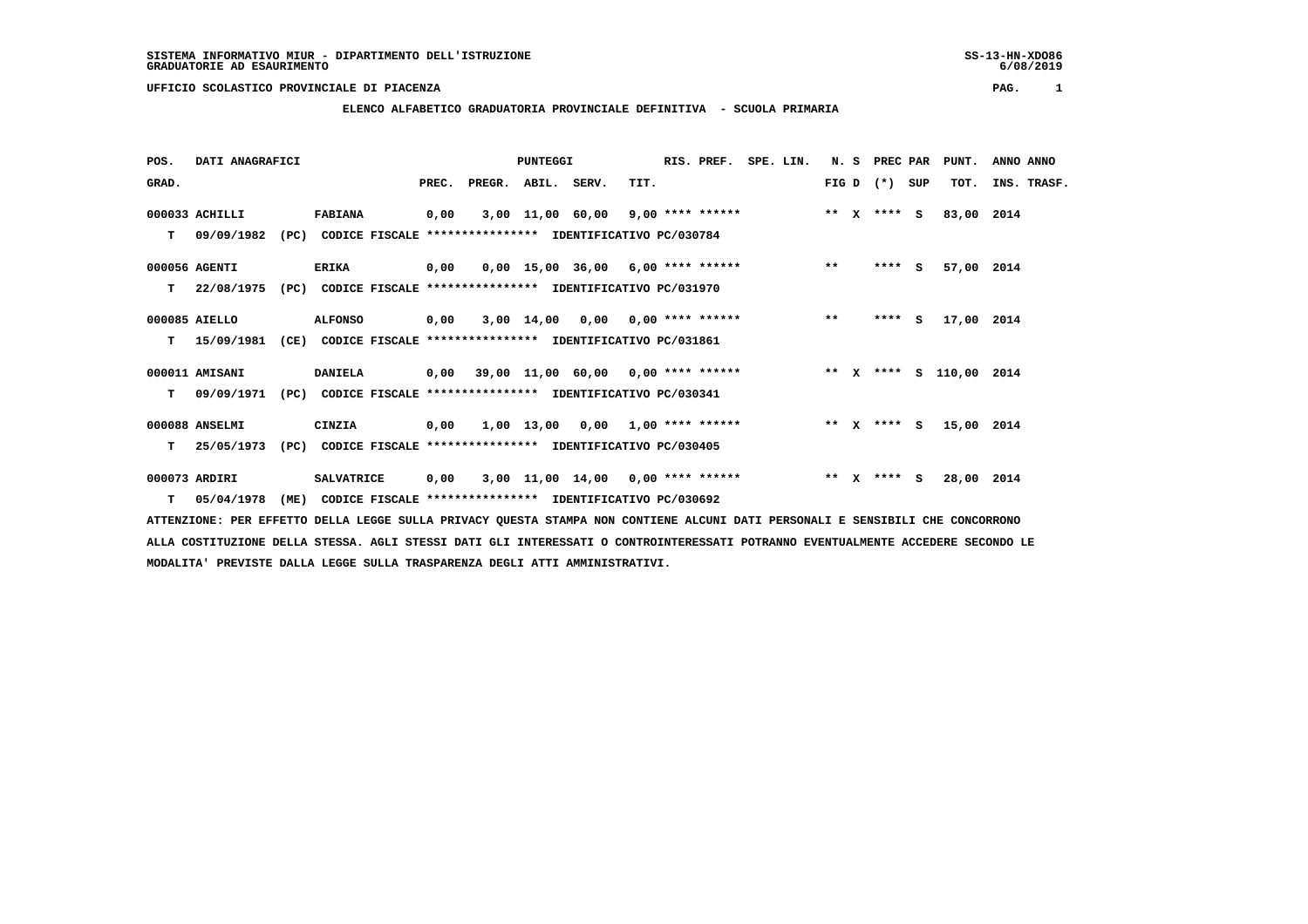# **ELENCO ALFABETICO GRADUATORIA PROVINCIALE DEFINITIVA - SCUOLA PRIMARIA**

|  |  | $50 - 10$ $10 - 2000$ |
|--|--|-----------------------|
|  |  | 6/08/2019             |
|  |  |                       |
|  |  |                       |
|  |  |                       |

 **POS. DATI ANAGRAFICI PUNTEGGI RIS. PREF. SPE. LIN. N. S PREC PAR PUNT. ANNO ANNO**GRAD. **PREGRADE SERVEGE SERVE SERVE SERVE SERVE SERVE SERVE SERVE SERVE SERVE SERVE SERVE SERVE SERVE SERVE SERVE 000033 ACHILLI FABIANA 0,00 3,00 11,00 60,00 9,00 \*\*\*\* \*\*\*\*\*\* \*\* X \*\*\*\* S 83,00 2014 T 09/09/1982 (PC) CODICE FISCALE \*\*\*\*\*\*\*\*\*\*\*\*\*\*\*\* IDENTIFICATIVO PC/030784 000056 AGENTI ERIKA 0,00 0,00 15,00 36,00 6,00 \*\*\*\* \*\*\*\*\*\* \*\* \*\*\*\* S 57,00 2014 T 22/08/1975 (PC) CODICE FISCALE \*\*\*\*\*\*\*\*\*\*\*\*\*\*\*\* IDENTIFICATIVO PC/031970 000085 AIELLO ALFONSO 0,00 3,00 14,00 0,00 0,00 \*\*\*\* \*\*\*\*\*\* \*\* \*\*\*\* S 17,00 2014 T 15/09/1981 (CE) CODICE FISCALE \*\*\*\*\*\*\*\*\*\*\*\*\*\*\*\* IDENTIFICATIVO PC/031861 000011 AMISANI DANIELA 0,00 39,00 11,00 60,00 0,00 \*\*\*\* \*\*\*\*\*\* \*\* X \*\*\*\* S 110,00 2014 T 09/09/1971 (PC) CODICE FISCALE \*\*\*\*\*\*\*\*\*\*\*\*\*\*\*\* IDENTIFICATIVO PC/030341 000088 ANSELMI CINZIA 0,00 1,00 13,00 0,00 1,00 \*\*\*\* \*\*\*\*\*\* \*\* X \*\*\*\* S 15,00 2014 T 25/05/1973 (PC) CODICE FISCALE \*\*\*\*\*\*\*\*\*\*\*\*\*\*\*\* IDENTIFICATIVO PC/030405 000073 ARDIRI SALVATRICE 0,00 3,00 11,00 14,00 0,00 \*\*\*\* \*\*\*\*\*\* \*\* X \*\*\*\* S 28,00 2014**

 **T 05/04/1978 (ME) CODICE FISCALE \*\*\*\*\*\*\*\*\*\*\*\*\*\*\*\* IDENTIFICATIVO PC/030692**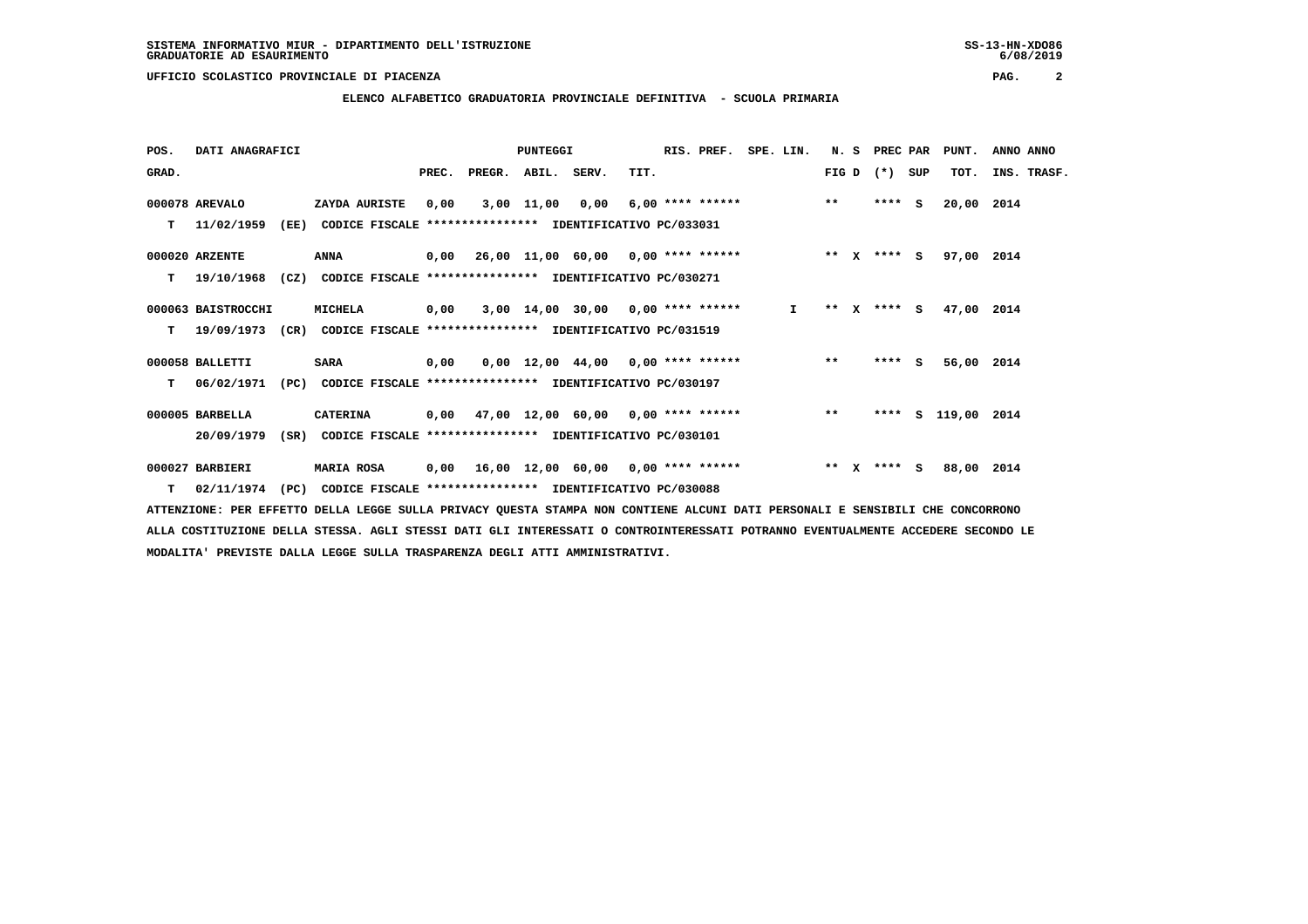**ELENCO ALFABETICO GRADUATORIA PROVINCIALE DEFINITIVA - SCUOLA PRIMARIA**

| POS.  | DATI ANAGRAFICI    |      |                                                               |      |                          | <b>PUNTEGGI</b> |                                            |      | RIS. PREF. SPE. LIN.      |                 |         | N. S PREC PAR |     | PUNT.              | ANNO ANNO   |
|-------|--------------------|------|---------------------------------------------------------------|------|--------------------------|-----------------|--------------------------------------------|------|---------------------------|-----------------|---------|---------------|-----|--------------------|-------------|
| GRAD. |                    |      |                                                               |      | PREC. PREGR. ABIL. SERV. |                 |                                            | TIT. |                           |                 |         | FIG D $(*)$   | SUP | TOT.               | INS. TRASF. |
|       | 000078 AREVALO     |      | ZAYDA AURISTE                                                 | 0,00 |                          |                 | 3,00 11,00 0,00                            |      | $6,00$ **** ****** *** ** |                 |         | $***$ S       |     | 20,00 2014         |             |
| т     | 11/02/1959         | (EE) | CODICE FISCALE **************** IDENTIFICATIVO PC/033031      |      |                          |                 |                                            |      |                           |                 |         |               |     |                    |             |
|       | 000020 ARZENTE     |      | ANNA                                                          |      |                          |                 | $0,00$ 26,00 11,00 60,00 0,00 **** ******  |      |                           | $***$ x $***$ S |         |               |     | 97,00 2014         |             |
| т     | 19/10/1968         | (CZ) | CODICE FISCALE **************** IDENTIFICATIVO PC/030271      |      |                          |                 |                                            |      |                           |                 |         |               |     |                    |             |
|       | 000063 BAISTROCCHI |      | <b>MICHELA</b>                                                | 0,00 |                          |                 | 3,00 14,00 30,00 0,00 **** ******          |      |                           | $\mathbf{I}$    |         | ** X **** S   |     | 47,00 2014         |             |
| т     | 19/09/1973         |      | (CR) CODICE FISCALE **************** IDENTIFICATIVO PC/031519 |      |                          |                 |                                            |      |                           |                 |         |               |     |                    |             |
|       | 000058 BALLETTI    |      | <b>SARA</b>                                                   | 0,00 |                          |                 | $0,00$ 12,00 44,00 0,00 **** ****** *** ** |      |                           |                 |         | $***$ S       |     | 56,00 2014         |             |
| т     | 06/02/1971         |      | (PC) CODICE FISCALE **************** IDENTIFICATIVO PC/030197 |      |                          |                 |                                            |      |                           |                 |         |               |     |                    |             |
|       | 000005 BARBELLA    |      | <b>CATERINA</b>                                               |      |                          |                 | 0,00 47,00 12,00 60,00 0,00 **** ******    |      |                           |                 | $* *$   |               |     | **** S 119,00 2014 |             |
|       | 20/09/1979         | (SR) | CODICE FISCALE **************** IDENTIFICATIVO PC/030101      |      |                          |                 |                                            |      |                           |                 |         |               |     |                    |             |
|       | 000027 BARBIERI    |      | <b>MARIA ROSA</b>                                             | 0,00 |                          |                 | $16,00$ $12,00$ $60,00$ $0,00$ **** ****** |      |                           |                 | $***$ X | **** S        |     | 88,00 2014         |             |
| T.    | 02/11/1974         |      | (PC) CODICE FISCALE **************** IDENTIFICATIVO PC/030088 |      |                          |                 |                                            |      |                           |                 |         |               |     |                    |             |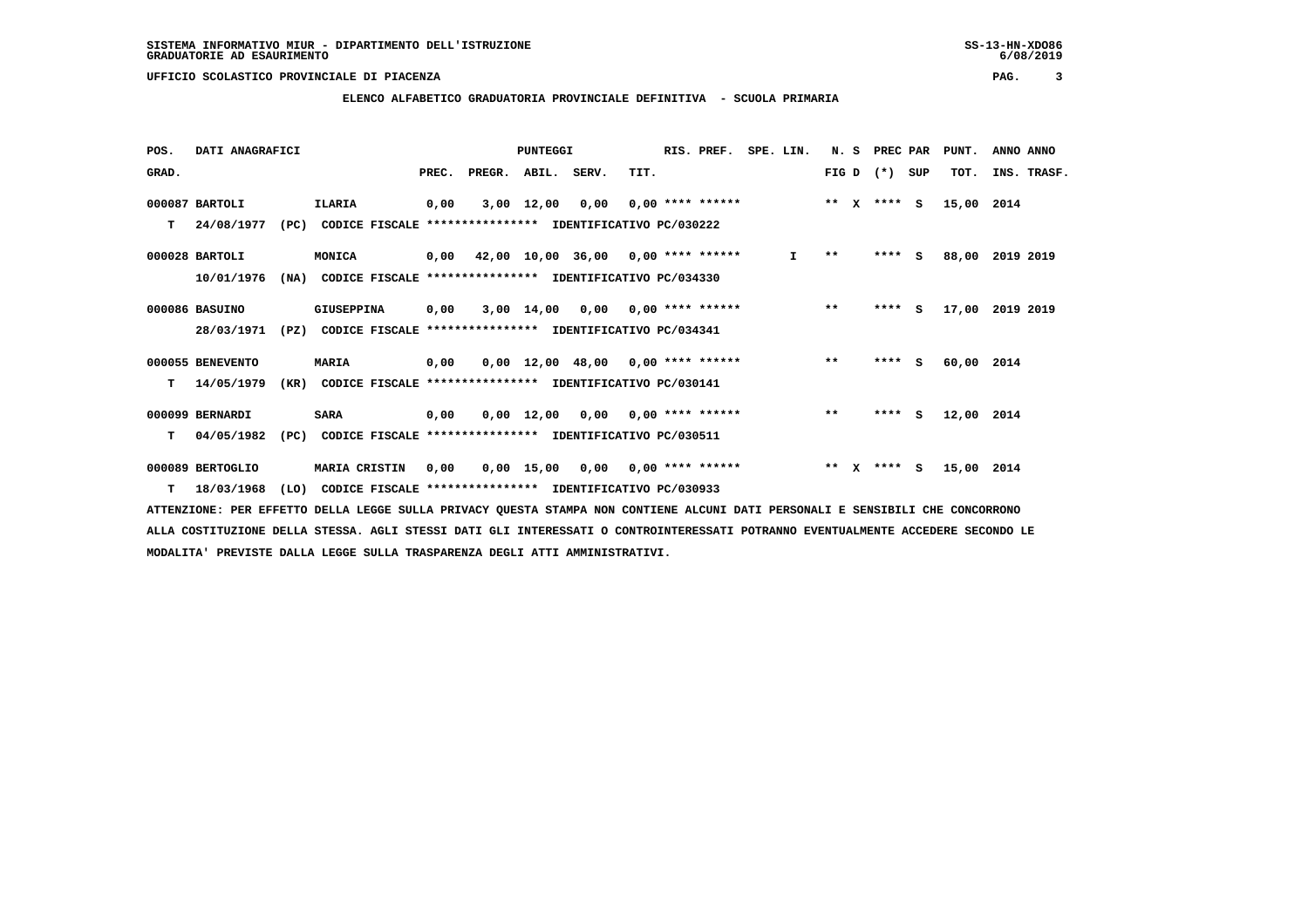**ELENCO ALFABETICO GRADUATORIA PROVINCIALE DEFINITIVA - SCUOLA PRIMARIA**

| POS.  | DATI ANAGRAFICI  |      |                                                          |       |        | <b>PUNTEGGI</b> |                                      |      | RIS. PREF.                | SPE. LIN.    | N.S     |              | PREC PAR    |     | PUNT.      | ANNO ANNO   |
|-------|------------------|------|----------------------------------------------------------|-------|--------|-----------------|--------------------------------------|------|---------------------------|--------------|---------|--------------|-------------|-----|------------|-------------|
| GRAD. |                  |      |                                                          | PREC. | PREGR. | ABIL. SERV.     |                                      | TIT. |                           |              |         |              | FIG D $(*)$ | SUP | TOT.       | INS. TRASF. |
|       | 000087 BARTOLI   |      | ILARIA                                                   | 0,00  |        | 3,00 12,00      | 0,00                                 |      | $0,00$ **** ******        |              | $***$ X |              | **** S      |     | 15,00 2014 |             |
| т     | 24/08/1977       | (PC) | CODICE FISCALE **************** IDENTIFICATIVO PC/030222 |       |        |                 |                                      |      |                           |              |         |              |             |     |            |             |
|       | 000028 BARTOLI   |      | MONICA                                                   | 0,00  |        |                 | $42,00$ 10,00 36,00 0,00 **** ****** |      |                           | $\mathbf{I}$ | $* *$   |              | $***$ S     |     | 88,00      | 2019 2019   |
|       | 10/01/1976       | (NA) | CODICE FISCALE **************** IDENTIFICATIVO PC/034330 |       |        |                 |                                      |      |                           |              |         |              |             |     |            |             |
|       | 000086 BASUINO   |      | GIUSEPPINA                                               | 0.00  |        |                 | $3,00$ 14,00 0,00 0,00 **** ******   |      |                           |              | $* *$   |              | $***$ S     |     | 17,00      | 2019 2019   |
|       | 28/03/1971       | (PZ) | CODICE FISCALE **************** IDENTIFICATIVO PC/034341 |       |        |                 |                                      |      |                           |              |         |              |             |     |            |             |
|       | 000055 BENEVENTO |      | <b>MARIA</b>                                             | 0,00  |        |                 | $0,00$ 12,00 48,00 0,00 **** ******  |      |                           |              | $***$   |              | $***5$      |     | 60,00      | 2014        |
| т     | 14/05/1979       | (KR) | CODICE FISCALE **************** IDENTIFICATIVO PC/030141 |       |        |                 |                                      |      |                           |              |         |              |             |     |            |             |
|       | 000099 BERNARDI  |      | <b>SARA</b>                                              | 0,00  |        |                 | $0.00$ 12.00 0.00 0.00 **** ******   |      |                           |              | $***$   |              | ****        | s   | 12,00 2014 |             |
| т     | 04/05/1982       | (PC) | CODICE FISCALE **************** IDENTIFICATIVO PC/030511 |       |        |                 |                                      |      |                           |              |         |              |             |     |            |             |
|       | 000089 BERTOGLIO |      | <b>MARIA CRISTIN</b>                                     | 0,00  |        | 0,00 15,00      |                                      |      | $0,00$ $0,00$ **** ****** |              | $* *$   | $\mathbf{x}$ | **** S      |     | 15,00 2014 |             |
| T.    | 18/03/1968       | (LO) | CODICE FISCALE **************** IDENTIFICATIVO PC/030933 |       |        |                 |                                      |      |                           |              |         |              |             |     |            |             |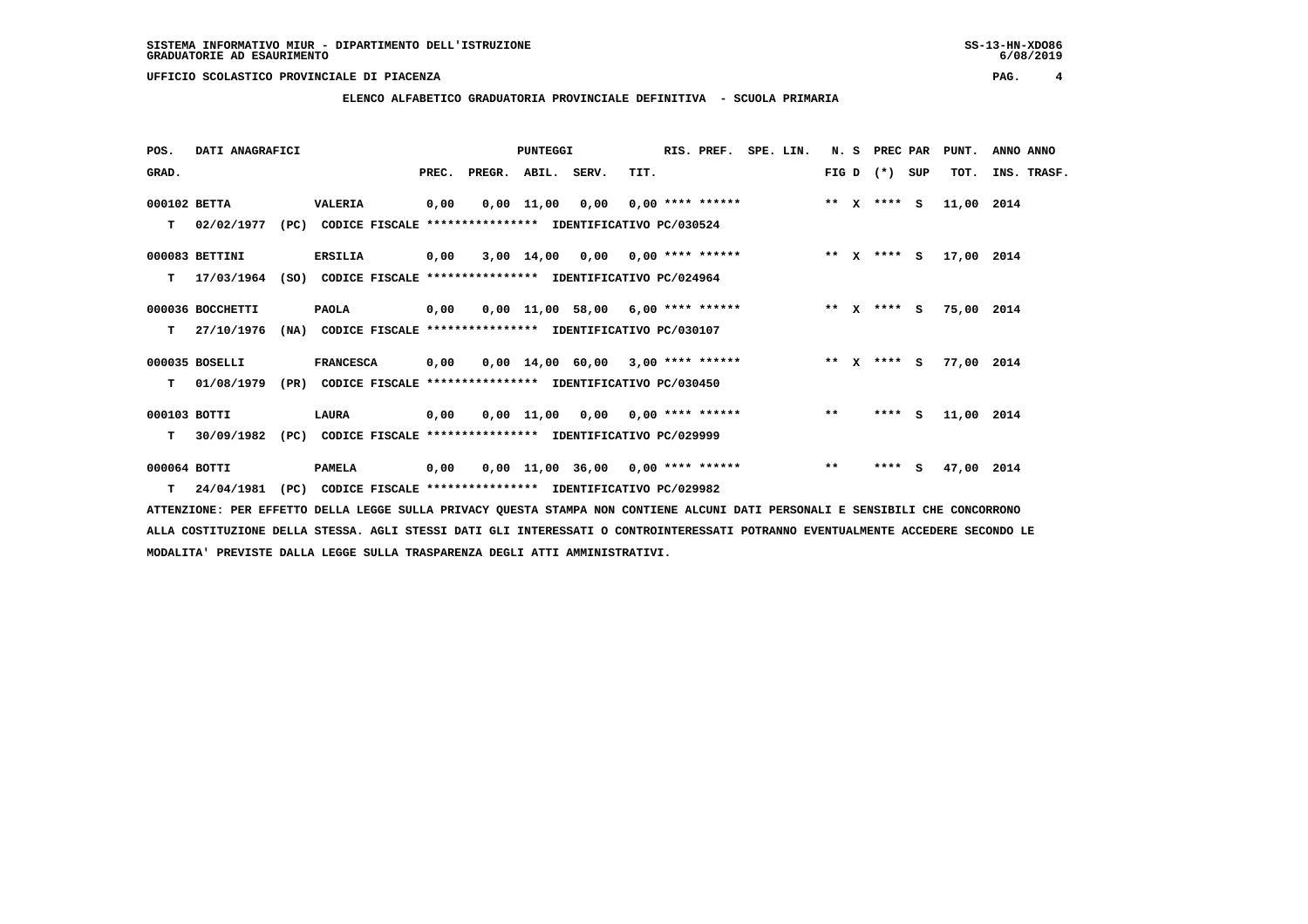**ELENCO ALFABETICO GRADUATORIA PROVINCIALE DEFINITIVA - SCUOLA PRIMARIA**

| POS.         | DATI ANAGRAFICI  |      |                                                               |      |                          | <b>PUNTEGGI</b> |                                     |      | RIS. PREF. SPE. LIN. |                 |       | N. S PREC PAR |     | PUNT.      | ANNO ANNO   |
|--------------|------------------|------|---------------------------------------------------------------|------|--------------------------|-----------------|-------------------------------------|------|----------------------|-----------------|-------|---------------|-----|------------|-------------|
| GRAD.        |                  |      |                                                               |      | PREC. PREGR. ABIL. SERV. |                 |                                     | TIT. |                      |                 |       | FIG D $(*)$   | SUP | TOT.       | INS. TRASF. |
| 000102 BETTA |                  |      | <b>VALERIA</b>                                                | 0,00 |                          |                 | $0,00$ 11,00 0,00 0,00 **** ******  |      |                      | $***$ x $***$ s |       |               |     | 11,00 2014 |             |
| т            | 02/02/1977       | (PC) | CODICE FISCALE **************** IDENTIFICATIVO PC/030524      |      |                          |                 |                                     |      |                      |                 |       |               |     |            |             |
|              | 000083 BETTINI   |      | <b>ERSILIA</b>                                                | 0,00 |                          |                 | $3,00$ 14,00 0,00 0,00 **** ******  |      |                      | ** X **** S     |       |               |     | 17,00 2014 |             |
| т            | 17/03/1964       |      | (SO) CODICE FISCALE **************** IDENTIFICATIVO PC/024964 |      |                          |                 |                                     |      |                      |                 |       |               |     |            |             |
|              | 000036 BOCCHETTI |      | <b>PAOLA</b>                                                  | 0,00 |                          |                 | $0,00$ 11,00 58,00 6,00 **** ****** |      |                      | ** X **** S     |       |               |     | 75,00 2014 |             |
| T.           | 27/10/1976       |      | (NA) CODICE FISCALE **************** IDENTIFICATIVO PC/030107 |      |                          |                 |                                     |      |                      |                 |       |               |     |            |             |
|              | 000035 BOSELLI   |      | <b>FRANCESCA</b>                                              | 0,00 |                          |                 | $0,00$ 14,00 60,00 3,00 **** ****** |      |                      | $*** x*** s$    |       |               |     | 77,00 2014 |             |
| т            | 01/08/1979       |      | (PR) CODICE FISCALE **************** IDENTIFICATIVO PC/030450 |      |                          |                 |                                     |      |                      |                 |       |               |     |            |             |
| 000103 BOTTI |                  |      | <b>LAURA</b>                                                  | 0,00 |                          |                 | 0,00 11,00 0,00 0,00 **** ******    |      |                      |                 | $* *$ | $***$ S       |     | 11,00 2014 |             |
| т            | 30/09/1982       | (PC) | CODICE FISCALE **************** IDENTIFICATIVO PC/029999      |      |                          |                 |                                     |      |                      |                 |       |               |     |            |             |
| 000064 BOTTI |                  |      | <b>PAMELA</b>                                                 | 0,00 |                          |                 | $0,00$ 11,00 36,00 0,00 **** ****** |      |                      |                 | $***$ | $***$ S       |     | 47,00 2014 |             |
|              | $T = 24/04/1981$ |      | (PC) CODICE FISCALE **************** IDENTIFICATIVO PC/029982 |      |                          |                 |                                     |      |                      |                 |       |               |     |            |             |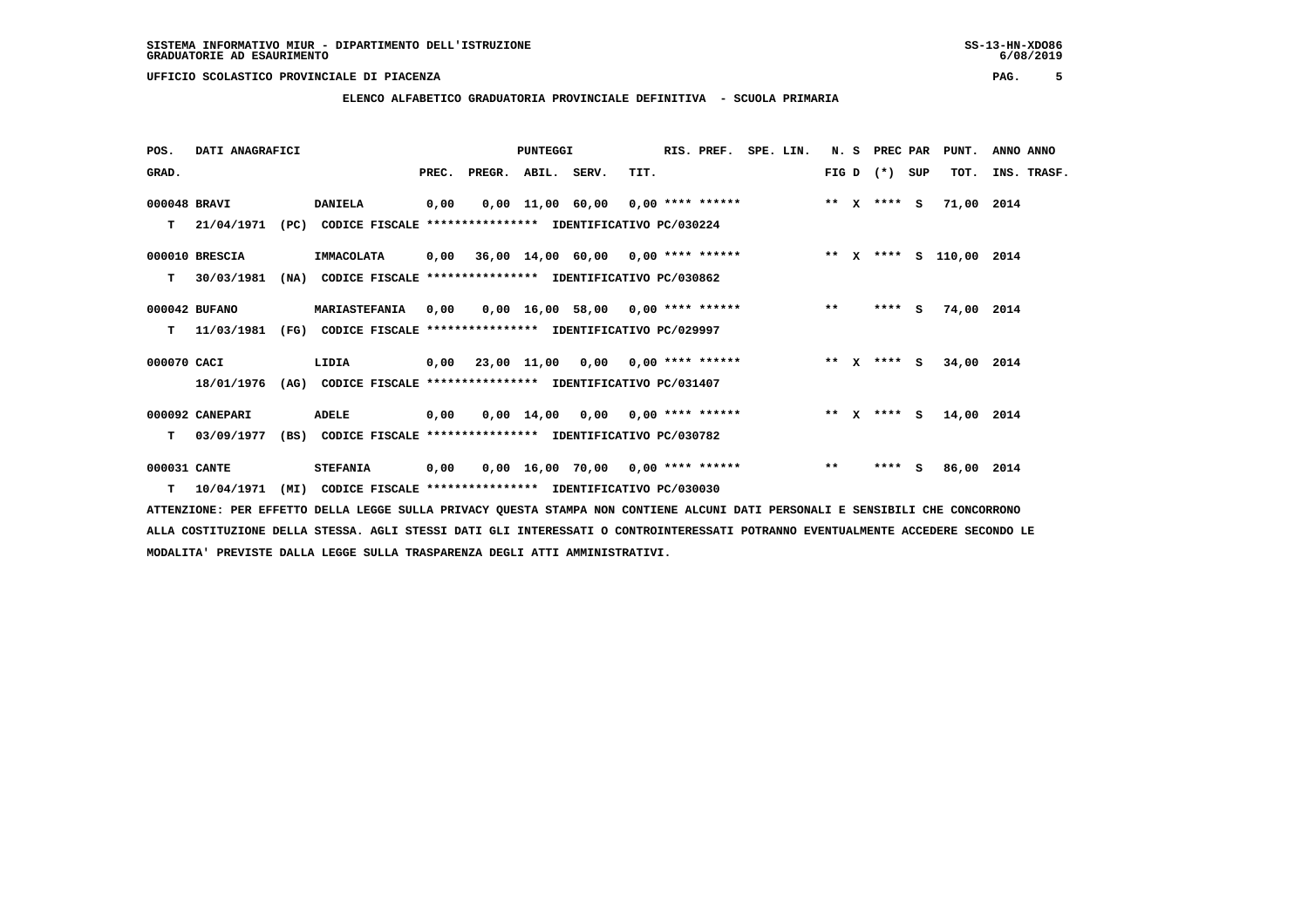**ELENCO ALFABETICO GRADUATORIA PROVINCIALE DEFINITIVA - SCUOLA PRIMARIA**

| POS.         | DATI ANAGRAFICI  |      |                                                               |      |                          | <b>PUNTEGGI</b> |                                                                             |      | RIS. PREF. SPE. LIN. |                 |       | N. S PREC PAR |     | PUNT.      | ANNO ANNO |             |
|--------------|------------------|------|---------------------------------------------------------------|------|--------------------------|-----------------|-----------------------------------------------------------------------------|------|----------------------|-----------------|-------|---------------|-----|------------|-----------|-------------|
| GRAD.        |                  |      |                                                               |      | PREC. PREGR. ABIL. SERV. |                 |                                                                             | TIT. |                      |                 |       | $FIG D (*)$   | SUP | TOT.       |           | INS. TRASF. |
| 000048 BRAVI |                  |      | <b>DANIELA</b>                                                | 0,00 |                          |                 | $0,00$ 11,00 60,00 0,00 **** ******                                         |      |                      | $***$ x $***$ s |       |               |     | 71,00 2014 |           |             |
| т            | 21/04/1971       |      | (PC) CODICE FISCALE **************** IDENTIFICATIVO PC/030224 |      |                          |                 |                                                                             |      |                      |                 |       |               |     |            |           |             |
|              | 000010 BRESCIA   |      | IMMACOLATA                                                    |      |                          |                 | 0,00 36,00 14,00 60,00 0,00 **** ****** **** *** ** **** \$ 110,00 2014     |      |                      |                 |       |               |     |            |           |             |
| т            | 30/03/1981       | (NA) | CODICE FISCALE **************** IDENTIFICATIVO PC/030862      |      |                          |                 |                                                                             |      |                      |                 |       |               |     |            |           |             |
|              | 000042 BUFANO    |      | <b>MARIASTEFANIA 0,00</b>                                     |      |                          |                 | $0,00$ 16,00 58,00 0,00 **** ******                                         |      |                      |                 | $**$  | $***$ S       |     | 74,00 2014 |           |             |
| T.           | 11/03/1981       |      | (FG) CODICE FISCALE **************** IDENTIFICATIVO PC/029997 |      |                          |                 |                                                                             |      |                      |                 |       |               |     |            |           |             |
| 000070 CACI  |                  |      | LIDIA                                                         |      |                          |                 | $0.00$ 23.00 11.00 0.00 0.00 **** ******                                    |      |                      | ** x **** s     |       |               |     | 34,00 2014 |           |             |
|              | 18/01/1976       | (AG) | CODICE FISCALE **************** IDENTIFICATIVO PC/031407      |      |                          |                 |                                                                             |      |                      |                 |       |               |     |            |           |             |
|              | 000092 CANEPARI  |      | <b>ADELE</b>                                                  | 0,00 |                          |                 | $0,00$ 14,00 0,00 0,00 **** ******                                          |      |                      | ** x **** s     |       |               |     | 14,00 2014 |           |             |
| т            | 03/09/1977       |      | (BS) CODICE FISCALE **************** IDENTIFICATIVO PC/030782 |      |                          |                 |                                                                             |      |                      |                 |       |               |     |            |           |             |
| 000031 CANTE |                  |      | <b>STEFANIA</b>                                               | 0,00 |                          |                 | $0.00 \quad 16.00 \quad 70.00 \quad 0.00 \quad *** \quad *** \quad$ ******* |      |                      |                 | $***$ | **** S        |     | 86,00 2014 |           |             |
|              | $T = 10/04/1971$ |      | (MI) CODICE FISCALE **************** IDENTIFICATIVO PC/030030 |      |                          |                 |                                                                             |      |                      |                 |       |               |     |            |           |             |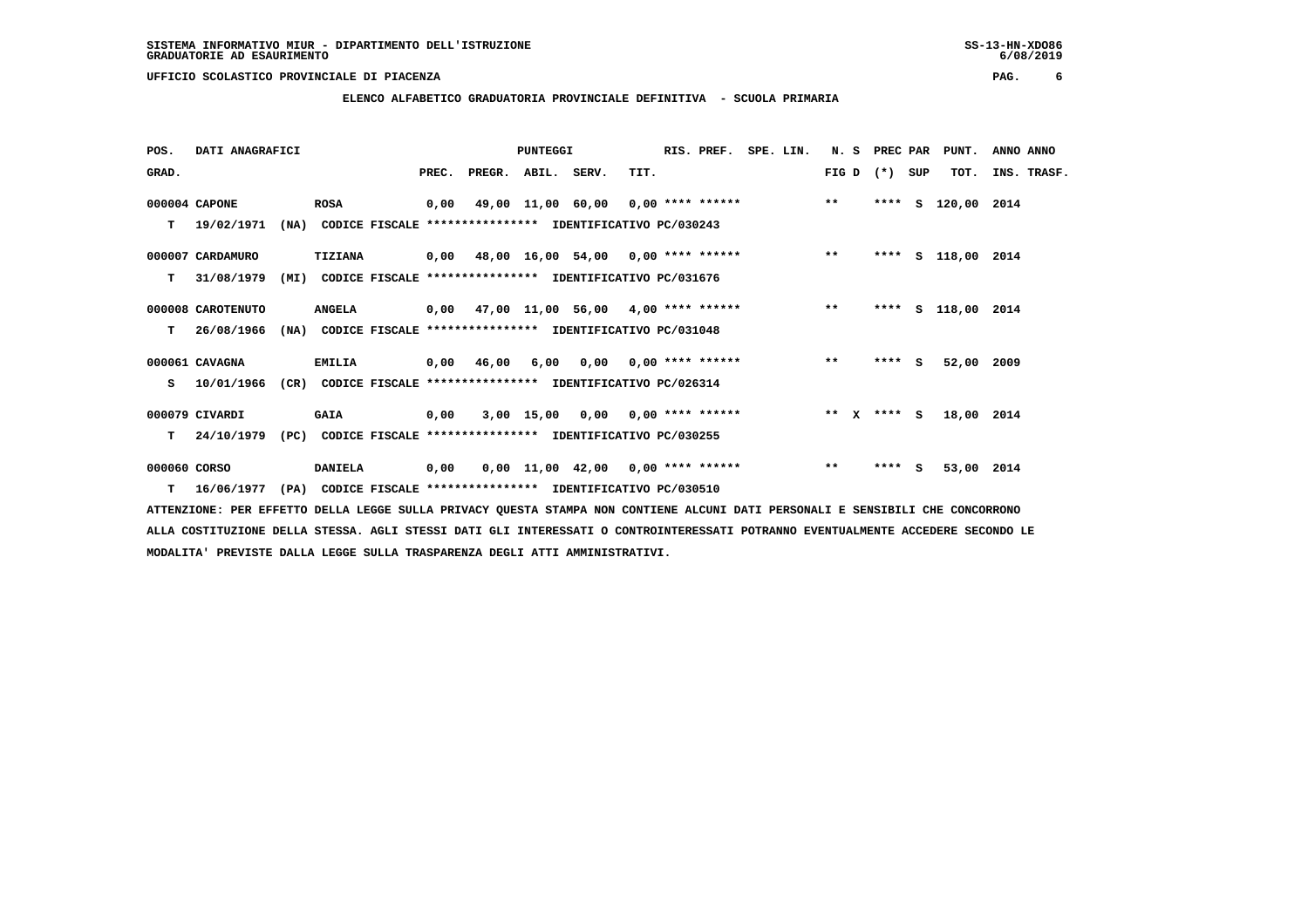**ELENCO ALFABETICO GRADUATORIA PROVINCIALE DEFINITIVA - SCUOLA PRIMARIA**

| POS.         | DATI ANAGRAFICI                                                           |      |                                                               |      |                          | <b>PUNTEGGI</b> |                                                   |      | RIS. PREF. SPE. LIN. |               |             | N. S PREC PAR |     | PUNT.              | ANNO ANNO |             |
|--------------|---------------------------------------------------------------------------|------|---------------------------------------------------------------|------|--------------------------|-----------------|---------------------------------------------------|------|----------------------|---------------|-------------|---------------|-----|--------------------|-----------|-------------|
| GRAD.        |                                                                           |      |                                                               |      | PREC. PREGR. ABIL. SERV. |                 |                                                   | TIT. |                      |               | FIG D $(*)$ |               | SUP | TOT.               |           | INS. TRASF. |
|              | 000004 CAPONE                                                             |      | <b>ROSA</b>                                                   |      |                          |                 | $0,00$ 49,00 11,00 60,00 0,00 **** ****** *** **  |      |                      |               |             | ****          |     | S 120,00 2014      |           |             |
|              | $T = 19/02/1971$                                                          |      | (NA) CODICE FISCALE **************** IDENTIFICATIVO PC/030243 |      |                          |                 |                                                   |      |                      |               |             |               |     |                    |           |             |
|              | 000007 CARDAMURO                                                          |      | <b>TIZIANA</b>                                                |      |                          |                 | 0,00 48,00 16,00 54,00 0,00 **** ****** ***** *** |      |                      |               |             |               |     | **** S 118,00 2014 |           |             |
| т            | 31/08/1979                                                                | (MI) | CODICE FISCALE **************** IDENTIFICATIVO PC/031676      |      |                          |                 |                                                   |      |                      |               |             |               |     |                    |           |             |
|              | 000008 CAROTENUTO                                                         |      | <b>ANGELA</b>                                                 |      |                          |                 | 0,00 47,00 11,00 56,00 4,00 **** ****** *** ***   |      |                      |               |             |               |     | **** S 118,00 2014 |           |             |
| T.           | 26/08/1966                                                                |      | (NA) CODICE FISCALE **************** IDENTIFICATIVO PC/031048 |      |                          |                 |                                                   |      |                      |               |             |               |     |                    |           |             |
|              | 000061 CAVAGNA                                                            |      | <b>EMILIA</b>                                                 |      |                          |                 | $0,00$ 46,00 6,00 0,00 0,00 **** ****** *** **    |      |                      |               |             | $***$ S       |     | 52,00 2009         |           |             |
| s            | 10/01/1966                                                                |      | (CR) CODICE FISCALE **************** IDENTIFICATIVO PC/026314 |      |                          |                 |                                                   |      |                      |               |             |               |     |                    |           |             |
|              | 000079 CIVARDI                                                            |      | <b>GAIA</b>                                                   | 0,00 |                          |                 | $3,00$ 15,00 0,00 0,00 **** ******                |      |                      | ** $X$ **** S |             |               |     | 18,00 2014         |           |             |
| T.           | 24/10/1979                                                                |      | (PC) CODICE FISCALE **************** IDENTIFICATIVO PC/030255 |      |                          |                 |                                                   |      |                      |               |             |               |     |                    |           |             |
| 000060 CORSO |                                                                           |      | <b>DANIELA</b>                                                | 0,00 |                          |                 | $0.00$ 11.00 42.00 0.00 **** ******               |      |                      |               | $***$       | **** S        |     | 53,00 2014         |           |             |
|              | T 16/06/1977 (PA) CODICE FISCALE *************** IDENTIFICATIVO PC/030510 |      |                                                               |      |                          |                 |                                                   |      |                      |               |             |               |     |                    |           |             |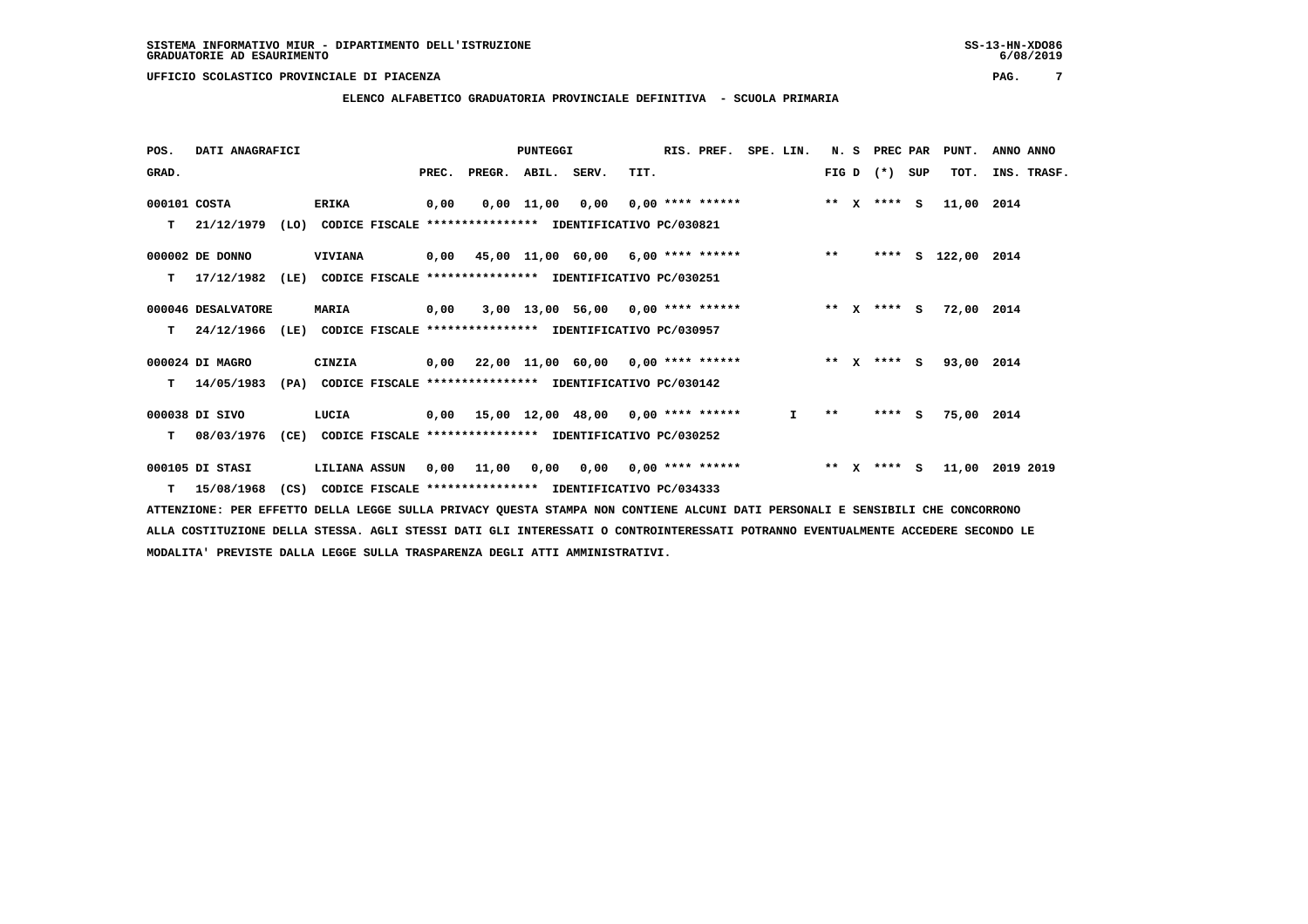**ELENCO ALFABETICO GRADUATORIA PROVINCIALE DEFINITIVA - SCUOLA PRIMARIA**

| POS.         | DATI ANAGRAFICI    |      |                                                               |       |                    | <b>PUNTEGGI</b> |                                                          |      | RIS. PREF.         | SPE. LIN. |              |       | N. S         | PREC PAR    |     | PUNT.         | ANNO ANNO   |
|--------------|--------------------|------|---------------------------------------------------------------|-------|--------------------|-----------------|----------------------------------------------------------|------|--------------------|-----------|--------------|-------|--------------|-------------|-----|---------------|-------------|
| GRAD.        |                    |      |                                                               | PREC. | PREGR. ABIL. SERV. |                 |                                                          | TIT. |                    |           |              |       |              | FIG D $(*)$ | SUP | TOT.          | INS. TRASF. |
| 000101 COSTA |                    |      | <b>ERIKA</b>                                                  | 0,00  |                    | 0,00 11,00      | 0,00                                                     |      | $0,00$ **** ****** |           |              |       |              | ** x **** S |     | 11,00 2014    |             |
| т            | 21/12/1979         |      | (LO) CODICE FISCALE **************** IDENTIFICATIVO PC/030821 |       |                    |                 |                                                          |      |                    |           |              |       |              |             |     |               |             |
|              | 000002 DE DONNO    |      | <b>VIVIANA</b>                                                |       |                    |                 | 0,00 45,00 11,00 60,00 6,00 **** ******                  |      |                    |           |              | $***$ |              | ****        |     | S 122,00 2014 |             |
| т            | 17/12/1982         | (LE) |                                                               |       |                    |                 | CODICE FISCALE **************** IDENTIFICATIVO PC/030251 |      |                    |           |              |       |              |             |     |               |             |
|              | 000046 DESALVATORE |      | <b>MARIA</b>                                                  | 0,00  |                    |                 | $3,00$ 13,00 56,00 0,00 **** ******                      |      |                    |           |              |       |              | ** x **** S |     | 72,00 2014    |             |
| т            | 24/12/1966         | (LE) |                                                               |       |                    |                 | CODICE FISCALE **************** IDENTIFICATIVO PC/030957 |      |                    |           |              |       |              |             |     |               |             |
|              | 000024 DI MAGRO    |      | CINZIA                                                        |       |                    |                 | $0,00$ 22,00 11,00 60,00 0,00 **** ******                |      |                    |           | $*** x*** s$ |       |              |             |     | 93,00 2014    |             |
| т            | 14/05/1983         | (PA) |                                                               |       |                    |                 | CODICE FISCALE **************** IDENTIFICATIVO PC/030142 |      |                    |           |              |       |              |             |     |               |             |
|              | 000038 DI SIVO     |      | LUCIA                                                         |       |                    |                 | $0,00$ 15,00 12,00 48,00 0,00 **** ******                |      |                    |           | I.           | $* *$ |              | **** S      |     | 75,00 2014    |             |
| т            | 08/03/1976         | (CE) |                                                               |       |                    |                 | CODICE FISCALE **************** IDENTIFICATIVO PC/030252 |      |                    |           |              |       |              |             |     |               |             |
|              | 000105 DI STASI    |      | LILIANA ASSUN                                                 | 0.00  | 11,00              |                 | $0.00$ $0.00$ $0.00$ $***$ **** ******                   |      |                    |           |              | $**$  | $\mathbf{x}$ | **** $S$    |     | 11,00         | 2019 2019   |
| т            | 15/08/1968         |      | (CS) CODICE FISCALE **************** IDENTIFICATIVO PC/034333 |       |                    |                 |                                                          |      |                    |           |              |       |              |             |     |               |             |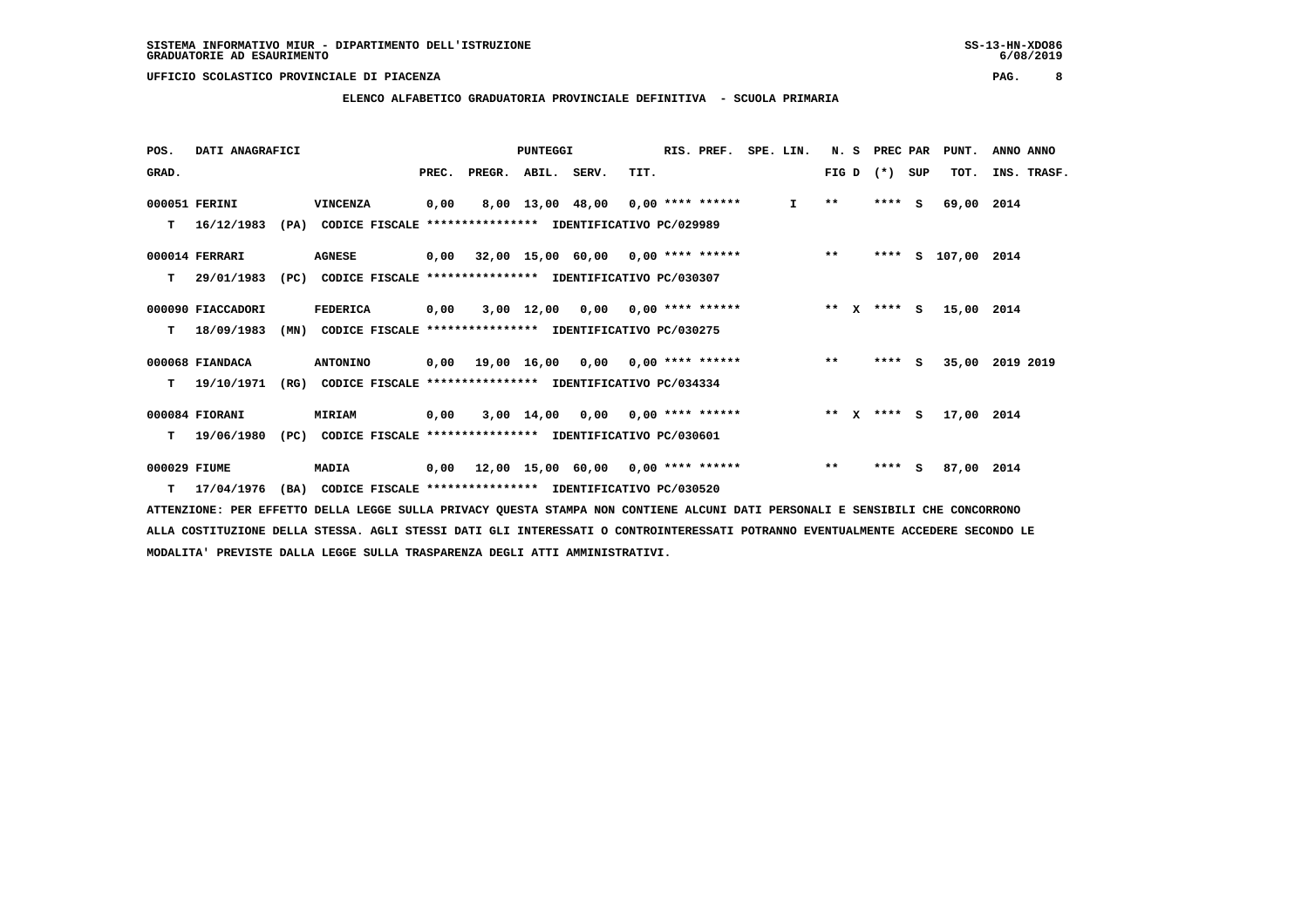**ELENCO ALFABETICO GRADUATORIA PROVINCIALE DEFINITIVA - SCUOLA PRIMARIA**

| POS.         | DATI ANAGRAFICI   |      |                                                               |       |        | <b>PUNTEGGI</b> |                                         |      | RIS. PREF.                | SPE. LIN.    | N. S        | PREC PAR    |     | PUNT.              | ANNO ANNO       |
|--------------|-------------------|------|---------------------------------------------------------------|-------|--------|-----------------|-----------------------------------------|------|---------------------------|--------------|-------------|-------------|-----|--------------------|-----------------|
| GRAD.        |                   |      |                                                               | PREC. | PREGR. | ABIL. SERV.     |                                         | TIT. |                           |              | FIG D $(*)$ |             | SUP | TOT.               | INS. TRASF.     |
|              | 000051 FERINI     |      | VINCENZA                                                      | 0,00  |        |                 | 8,00 13,00 48,00 0,00 **** ******       |      |                           | $\mathbf{I}$ | $* *$       | $***$ S     |     | 69,00              | 2014            |
| т            | 16/12/1983        |      | (PA) CODICE FISCALE **************** IDENTIFICATIVO PC/029989 |       |        |                 |                                         |      |                           |              |             |             |     |                    |                 |
|              | 000014 FERRARI    |      | <b>AGNESE</b>                                                 |       |        |                 | 0,00 32,00 15,00 60,00 0,00 **** ****** |      |                           |              | $***$       |             |     | **** S 107,00 2014 |                 |
| т            | 29/01/1983        | (PC) | CODICE FISCALE **************** IDENTIFICATIVO PC/030307      |       |        |                 |                                         |      |                           |              |             |             |     |                    |                 |
|              | 000090 FIACCADORI |      | FEDERICA                                                      | 0,00  |        |                 | $3,00$ 12,00 0,00 0,00 **** ******      |      |                           | $*** x*** s$ |             |             |     | 15,00 2014         |                 |
| т            | 18/09/1983        | (MN) | CODICE FISCALE **************** IDENTIFICATIVO PC/030275      |       |        |                 |                                         |      |                           |              |             |             |     |                    |                 |
|              | 000068 FIANDACA   |      | <b>ANTONINO</b>                                               |       |        |                 | 0,00 19,00 16,00 0,00 0,00 **** ******  |      |                           |              | $***$       | $***5$      |     |                    | 35,00 2019 2019 |
| т            | 19/10/1971        | (RG) | CODICE FISCALE **************** IDENTIFICATIVO PC/034334      |       |        |                 |                                         |      |                           |              |             |             |     |                    |                 |
|              | 000084 FIORANI    |      | <b>MIRIAM</b>                                                 | 0,00  |        | 3,00 14,00      |                                         |      | $0,00$ $0,00$ **** ****** |              |             | ** x **** s |     | 17,00 2014         |                 |
| т            | 19/06/1980        | (PC) | CODICE FISCALE **************** IDENTIFICATIVO PC/030601      |       |        |                 |                                         |      |                           |              |             |             |     |                    |                 |
| 000029 FIUME |                   |      | <b>MADIA</b>                                                  |       |        |                 | 0,00 12,00 15,00 60,00 0,00 **** ****** |      |                           |              | $***$       | ****        | s   | 87,00 2014         |                 |
| T.           | 17/04/1976        |      | (BA) CODICE FISCALE **************** IDENTIFICATIVO PC/030520 |       |        |                 |                                         |      |                           |              |             |             |     |                    |                 |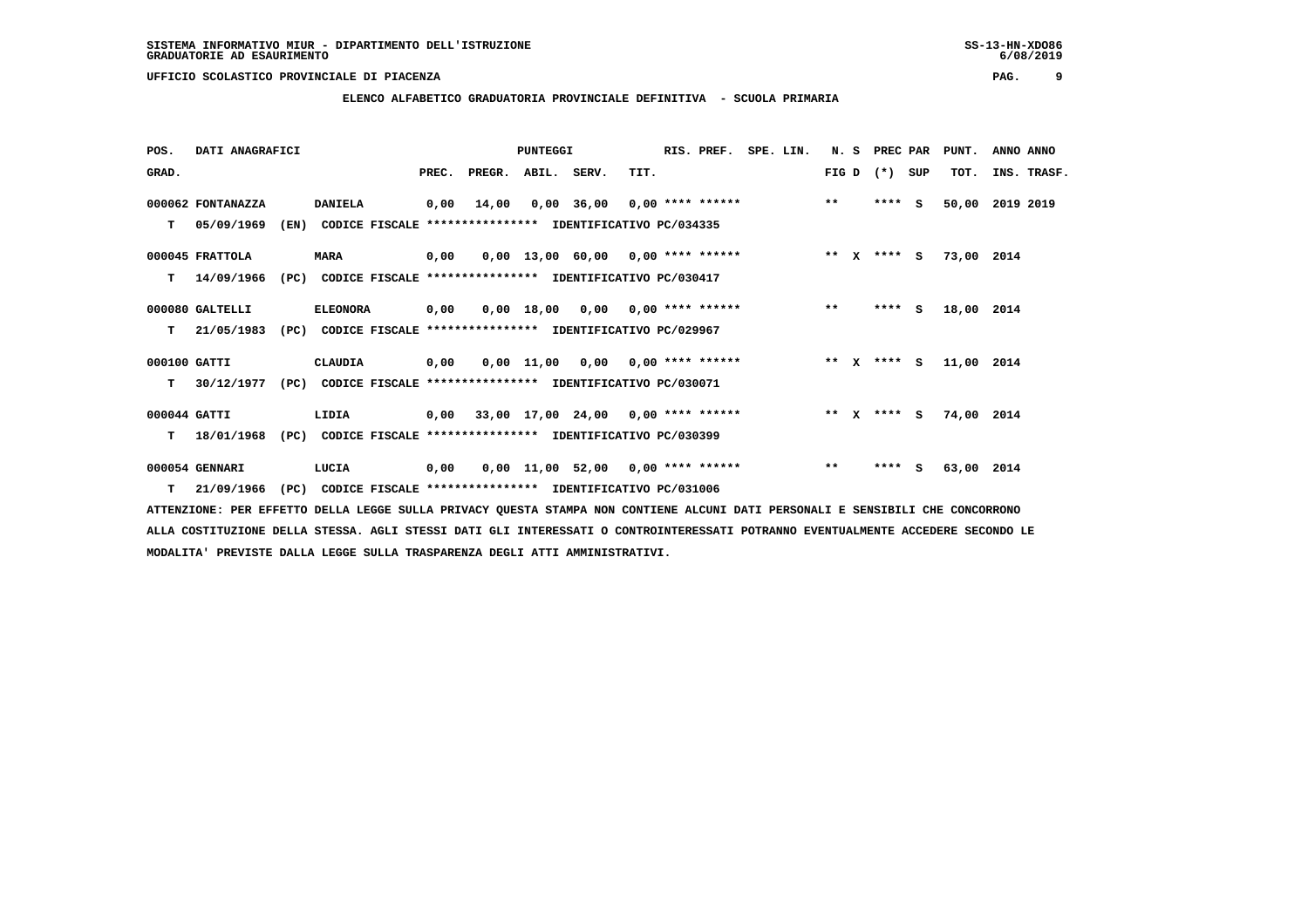**ELENCO ALFABETICO GRADUATORIA PROVINCIALE DEFINITIVA - SCUOLA PRIMARIA**

| POS.         | DATI ANAGRAFICI   |      |                                                               |       |                    | <b>PUNTEGGI</b> |                                           |      | RIS. PREF. | SPE. LIN.     |       | N. S PREC PAR |     | PUNT.      | ANNO ANNO |             |
|--------------|-------------------|------|---------------------------------------------------------------|-------|--------------------|-----------------|-------------------------------------------|------|------------|---------------|-------|---------------|-----|------------|-----------|-------------|
| GRAD.        |                   |      |                                                               | PREC. | PREGR. ABIL. SERV. |                 |                                           | TIT. |            |               | FIG D | $(* )$        | SUP | TOT.       |           | INS. TRASF. |
|              | 000062 FONTANAZZA |      | <b>DANIELA</b>                                                | 0,00  | 14,00              |                 | $0,00$ 36,00 0,00 **** ******             |      |            |               | $***$ | $***$ S       |     | 50,00      | 2019 2019 |             |
| т            | 05/09/1969        | (EN) | CODICE FISCALE **************** IDENTIFICATIVO PC/034335      |       |                    |                 |                                           |      |            |               |       |               |     |            |           |             |
|              | 000045 FRATTOLA   |      | <b>MARA</b>                                                   | 0,00  |                    |                 | $0.00$ 13.00 60.00 0.00 **** ******       |      |            | ** $X$ **** S |       |               |     | 73,00 2014 |           |             |
| т            | 14/09/1966        | (PC) | CODICE FISCALE **************** IDENTIFICATIVO PC/030417      |       |                    |                 |                                           |      |            |               |       |               |     |            |           |             |
|              | 000080 GALTELLI   |      | <b>ELEONORA</b>                                               | 0,00  |                    |                 | $0,00$ 18,00 0,00 0,00 **** ******        |      |            |               | $**$  | $***$ S       |     | 18,00 2014 |           |             |
| T.           | 21/05/1983        | (PC) | CODICE FISCALE **************** IDENTIFICATIVO PC/029967      |       |                    |                 |                                           |      |            |               |       |               |     |            |           |             |
| 000100 GATTI |                   |      | CLAUDIA                                                       | 0,00  |                    |                 | $0.00$ 11.00 0.00 0.00 **** ******        |      |            | ** x **** s   |       |               |     | 11,00 2014 |           |             |
| т            | 30/12/1977        |      | (PC) CODICE FISCALE **************** IDENTIFICATIVO PC/030071 |       |                    |                 |                                           |      |            |               |       |               |     |            |           |             |
| 000044 GATTI |                   |      | LIDIA                                                         |       |                    |                 | $0.00$ 33.00 17.00 24.00 0.00 **** ****** |      |            |               |       | ** x **** S   |     | 74,00 2014 |           |             |
| т            | 18/01/1968        | (PC) | CODICE FISCALE **************** IDENTIFICATIVO PC/030399      |       |                    |                 |                                           |      |            |               |       |               |     |            |           |             |
|              | 000054 GENNARI    |      | LUCIA                                                         | 0,00  |                    |                 | $0.00$ 11.00 52.00 0.00 **** ******       |      |            |               | $***$ | ****          | - S | 63,00 2014 |           |             |
| T.           | 21/09/1966        |      | (PC) CODICE FISCALE **************** IDENTIFICATIVO PC/031006 |       |                    |                 |                                           |      |            |               |       |               |     |            |           |             |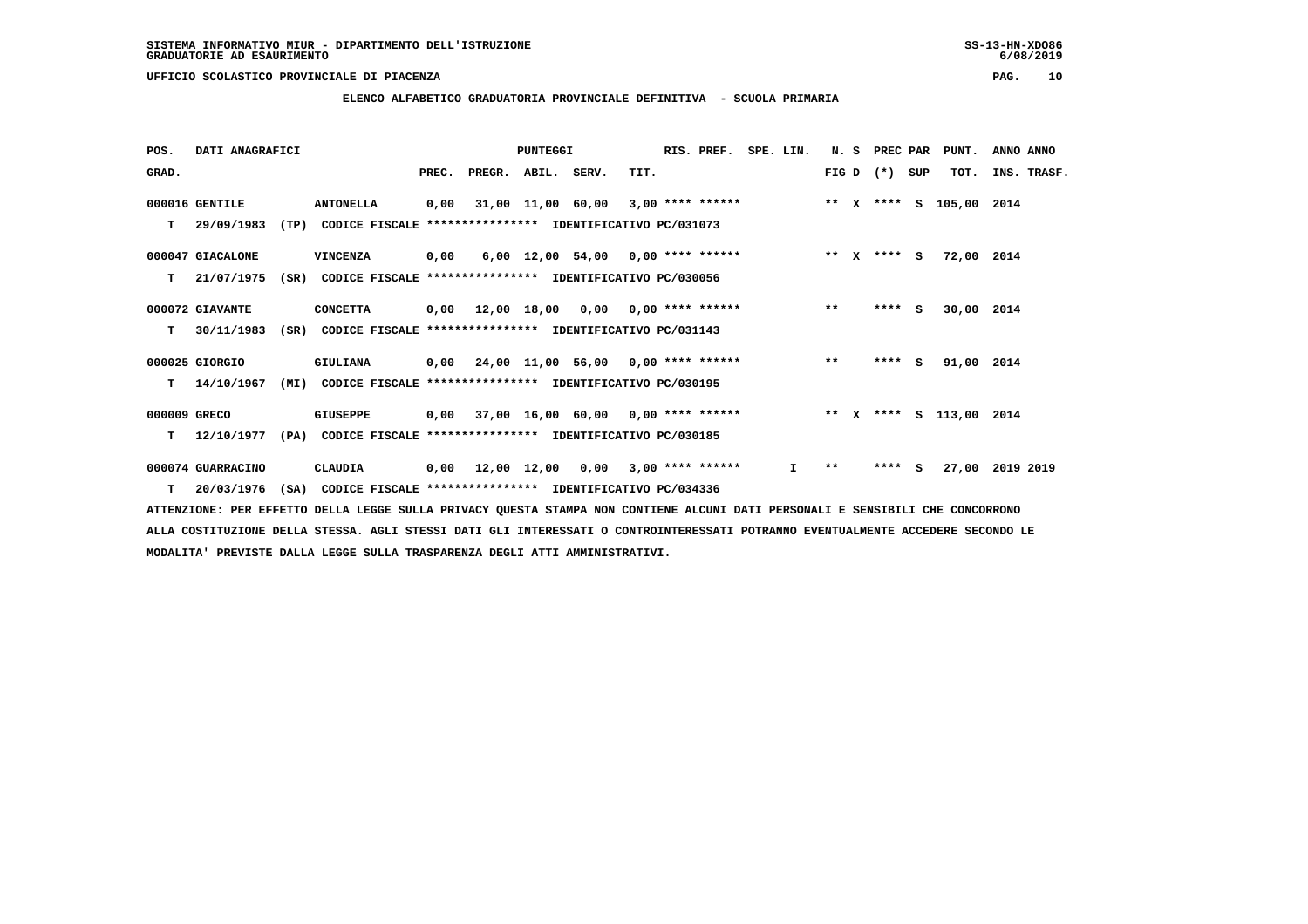**ELENCO ALFABETICO GRADUATORIA PROVINCIALE DEFINITIVA - SCUOLA PRIMARIA**

| POS.         | DATI ANAGRAFICI   |      |                                                               |       |                    | <b>PUNTEGGI</b> |                                                                        |      | RIS. PREF. | SPE. LIN. |              |       | N. S | PREC PAR    |          | PUNT.                   | ANNO ANNO       |
|--------------|-------------------|------|---------------------------------------------------------------|-------|--------------------|-----------------|------------------------------------------------------------------------|------|------------|-----------|--------------|-------|------|-------------|----------|-------------------------|-----------------|
| GRAD.        |                   |      |                                                               | PREC. | PREGR. ABIL. SERV. |                 |                                                                        | TIT. |            |           |              |       |      | FIG D $(*)$ | SUP      | TOT.                    | INS. TRASF.     |
|              | 000016 GENTILE    |      | <b>ANTONELLA</b>                                              |       |                    |                 | $0,00$ 31,00 11,00 60,00 3,00 **** ****** **** *** **** \$ 105,00 2014 |      |            |           |              |       |      |             |          |                         |                 |
| т            | 29/09/1983        |      | (TP) CODICE FISCALE **************** IDENTIFICATIVO PC/031073 |       |                    |                 |                                                                        |      |            |           |              |       |      |             |          |                         |                 |
|              | 000047 GIACALONE  |      | VINCENZA                                                      | 0,00  |                    |                 | $6,00$ 12,00 54,00 0,00 **** ******                                    |      |            |           | ** x **** S  |       |      |             |          | 72,00 2014              |                 |
| т            | 21/07/1975        | (SR) | CODICE FISCALE **************** IDENTIFICATIVO PC/030056      |       |                    |                 |                                                                        |      |            |           |              |       |      |             |          |                         |                 |
|              | 000072 GIAVANTE   |      | <b>CONCETTA</b>                                               |       |                    |                 | 0,00 12,00 18,00 0,00 0,00 **** ******                                 |      |            |           |              | $**$  |      | ****        | <b>S</b> | 30,00 2014              |                 |
| т            | 30/11/1983        | (SR) | CODICE FISCALE **************** IDENTIFICATIVO PC/031143      |       |                    |                 |                                                                        |      |            |           |              |       |      |             |          |                         |                 |
|              | 000025 GIORGIO    |      | GIULIANA                                                      |       |                    |                 |                                                                        |      |            |           |              | $***$ |      | $***5$      |          | 91,00 2014              |                 |
| т            | 14/10/1967        | (MI) | CODICE FISCALE **************** IDENTIFICATIVO PC/030195      |       |                    |                 |                                                                        |      |            |           |              |       |      |             |          |                         |                 |
| 000009 GRECO |                   |      | <b>GIUSEPPE</b>                                               |       |                    |                 | 0,00 37,00 16,00 60,00 0,00 **** ******                                |      |            |           |              |       |      |             |          | ** x **** s 113,00 2014 |                 |
| т            | 12/10/1977        | (PA) | CODICE FISCALE **************** IDENTIFICATIVO PC/030185      |       |                    |                 |                                                                        |      |            |           |              |       |      |             |          |                         |                 |
|              | 000074 GUARRACINO |      | CLAUDIA                                                       | 0,00  |                    |                 | 12,00 12,00 0,00 3,00 **** ******                                      |      |            |           | $\mathbf{I}$ | $* *$ |      | ****        | S.       |                         | 27,00 2019 2019 |
| т            | 20/03/1976        | (SA) | CODICE FISCALE **************** IDENTIFICATIVO PC/034336      |       |                    |                 |                                                                        |      |            |           |              |       |      |             |          |                         |                 |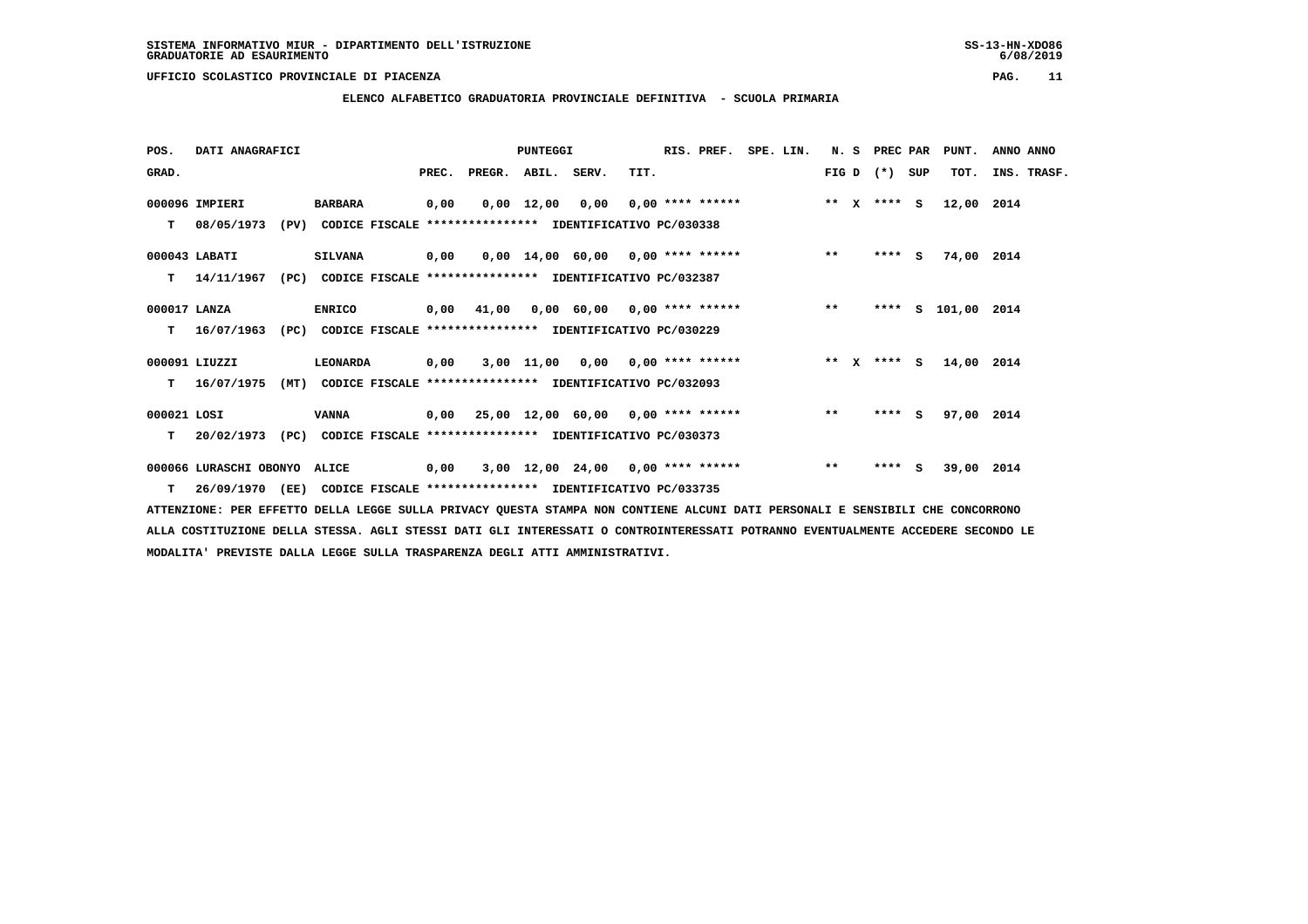## **ELENCO ALFABETICO GRADUATORIA PROVINCIALE DEFINITIVA - SCUOLA PRIMARIA**

| POS.         | DATI ANAGRAFICI              |                                                                            |      |                                                 | <b>PUNTEGGI</b> |                                                  |      | RIS. PREF. | SPE. LIN.           |       | N. S PREC PAR   | PUNT.              | ANNO ANNO   |  |
|--------------|------------------------------|----------------------------------------------------------------------------|------|-------------------------------------------------|-----------------|--------------------------------------------------|------|------------|---------------------|-------|-----------------|--------------------|-------------|--|
| GRAD.        |                              |                                                                            |      | PREC. PREGR. ABIL. SERV.                        |                 |                                                  | TIT. |            |                     |       | FIG D $(*)$ SUP | TOT.               | INS. TRASF. |  |
|              | 000096 IMPIERI               | <b>BARBARA</b>                                                             | 0,00 |                                                 |                 | $0,00$ 12,00 0,00 0,00 **** ****** * ** X **** S |      |            |                     |       |                 | 12,00 2014         |             |  |
| T.           | 08/05/1973                   | (PV) CODICE FISCALE **************** IDENTIFICATIVO PC/030338              |      |                                                 |                 |                                                  |      |            |                     |       |                 |                    |             |  |
|              | 000043 LABATI                | <b>SILVANA</b>                                                             | 0,00 |                                                 |                 | $0,00$ 14,00 60,00 0,00 **** ****** *** **       |      |            |                     |       | $***$ S         | 74,00 2014         |             |  |
|              | T 14/11/1967                 | (PC) CODICE FISCALE **************** IDENTIFICATIVO PC/032387              |      |                                                 |                 |                                                  |      |            |                     |       |                 |                    |             |  |
| 000017 LANZA |                              | <b>ENRICO</b>                                                              |      | $0,00$ 41,00 0,00 60,00 0,00 **** ****** *** ** |                 |                                                  |      |            |                     |       |                 | **** S 101,00 2014 |             |  |
| T.           | 16/07/1963                   | (PC) CODICE FISCALE **************** IDENTIFICATIVO PC/030229              |      |                                                 |                 |                                                  |      |            |                     |       |                 |                    |             |  |
|              | 000091 LIUZZI                | LEONARDA                                                                   | 0,00 |                                                 |                 | $3,00$ 11,00 0,00 0,00 **** ******               |      |            | $***$ $X$ $***$ $S$ |       |                 | 14,00 2014         |             |  |
|              | $T = 16/07/1975$             | (MT) CODICE FISCALE **************** IDENTIFICATIVO PC/032093              |      |                                                 |                 |                                                  |      |            |                     |       |                 |                    |             |  |
| 000021 LOSI  |                              | VANNA                                                                      |      | 0,00 25,00 12,00 60,00 0,00 **** ******         |                 |                                                  |      |            |                     | $***$ | $***$ S         | 97,00 2014         |             |  |
| т            | 20/02/1973<br>(PC)           | CODICE FISCALE **************** IDENTIFICATIVO PC/030373                   |      |                                                 |                 |                                                  |      |            |                     |       |                 |                    |             |  |
|              | 000066 LURASCHI OBONYO ALICE |                                                                            | 0,00 |                                                 |                 | $3,00$ 12,00 24,00 0,00 **** ******              |      |            |                     | $**$  | $***$ S         | 39,00 2014         |             |  |
|              |                              | T 26/09/1970 (EE) CODICE FISCALE **************** IDENTIFICATIVO PC/033735 |      |                                                 |                 |                                                  |      |            |                     |       |                 |                    |             |  |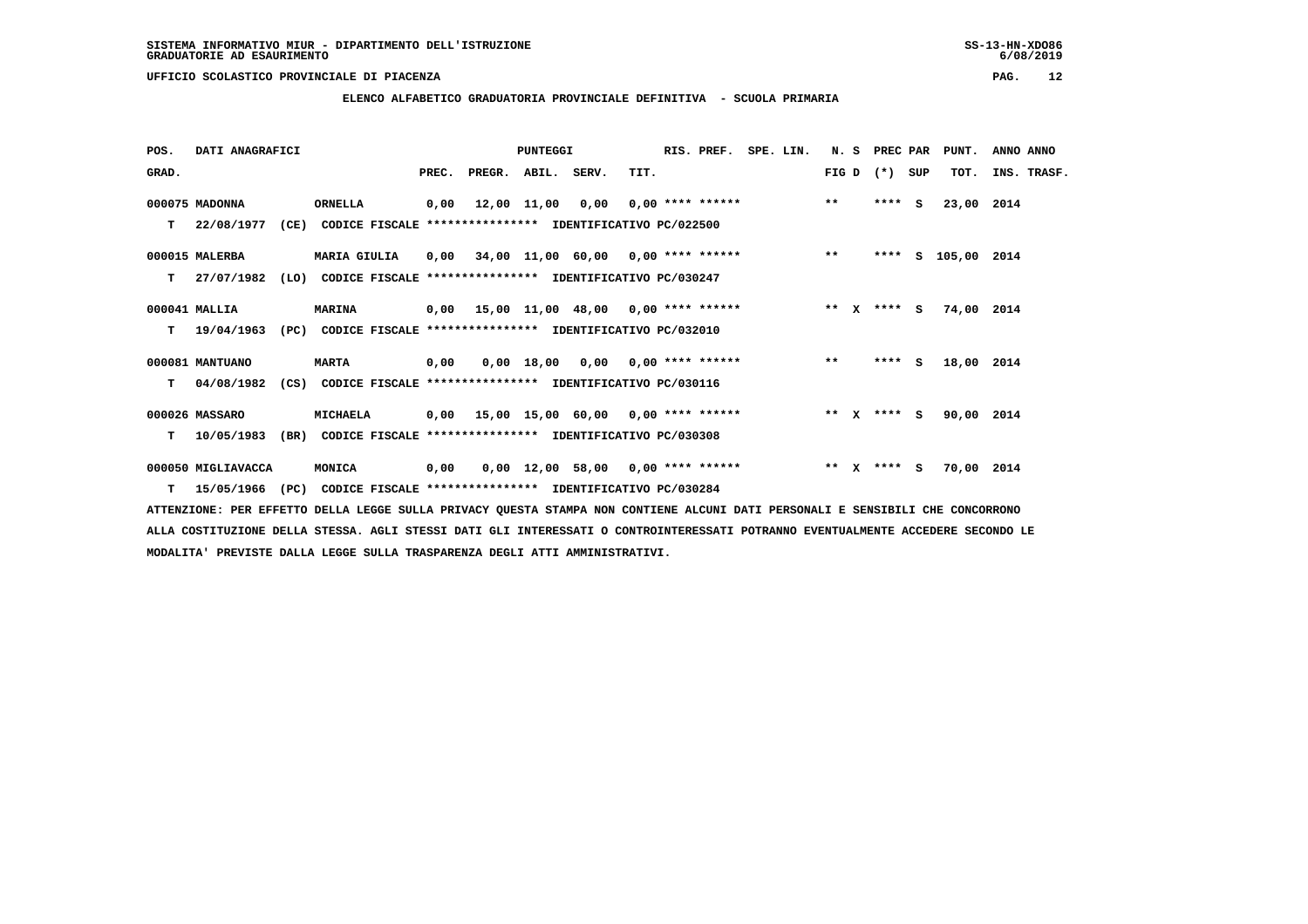## **ELENCO ALFABETICO GRADUATORIA PROVINCIALE DEFINITIVA - SCUOLA PRIMARIA**

| POS.  | DATI ANAGRAFICI    |      |                                                                          |      |                                                  | PUNTEGGI |                                     |      | RIS. PREF. | SPE. LIN.       |       | N. S PREC PAR   | PUNT.              | ANNO ANNO |             |
|-------|--------------------|------|--------------------------------------------------------------------------|------|--------------------------------------------------|----------|-------------------------------------|------|------------|-----------------|-------|-----------------|--------------------|-----------|-------------|
| GRAD. |                    |      |                                                                          |      | PREC. PREGR. ABIL. SERV.                         |          |                                     | TIT. |            |                 |       | $FIG D (*) SUB$ | TOT.               |           | INS. TRASF. |
|       | 000075 MADONNA     |      | ORNELLA                                                                  |      | 0,00 12,00 11,00 0,00 0,00 **** ****** *** **    |          |                                     |      |            |                 |       | $***$ S         | 23,00 2014         |           |             |
| т     | 22/08/1977         |      | (CE) CODICE FISCALE **************** IDENTIFICATIVO PC/022500            |      |                                                  |          |                                     |      |            |                 |       |                 |                    |           |             |
|       | 000015 MALERBA     |      | MARIA GIULIA                                                             |      | $0,00$ 34,00 11,00 60,00 0,00 **** ****** *** ** |          |                                     |      |            |                 |       |                 | **** S 105,00 2014 |           |             |
| T.    | 27/07/1982         | (LO) | CODICE FISCALE **************** IDENTIFICATIVO PC/030247                 |      |                                                  |          |                                     |      |            |                 |       |                 |                    |           |             |
|       | 000041 MALLIA      |      | <b>MARINA</b>                                                            |      | 0,00 15,00 11,00 48,00 0,00 **** ******          |          |                                     |      |            | $*** x*** s$    |       |                 | 74,00 2014         |           |             |
| T.    | 19/04/1963         |      | (PC) CODICE FISCALE **************** IDENTIFICATIVO PC/032010            |      |                                                  |          |                                     |      |            |                 |       |                 |                    |           |             |
|       | 000081 MANTUANO    |      | <b>MARTA</b>                                                             | 0,00 |                                                  |          | 0,00 18,00 0,00 0,00 **** ******    |      |            |                 | $***$ | **** S          | 18,00 2014         |           |             |
| т     | 04/08/1982         |      | (CS) CODICE FISCALE **************** IDENTIFICATIVO PC/030116            |      |                                                  |          |                                     |      |            |                 |       |                 |                    |           |             |
|       | 000026 MASSARO     |      | <b>MICHAELA</b>                                                          |      | 0,00 15,00 15,00 60,00 0,00 **** ******          |          |                                     |      |            | $*** x*** s$    |       |                 | 90,00 2014         |           |             |
| T.    | 10/05/1983         | (BR) | CODICE FISCALE **************** IDENTIFICATIVO PC/030308                 |      |                                                  |          |                                     |      |            |                 |       |                 |                    |           |             |
|       | 000050 MIGLIAVACCA |      | MONICA                                                                   | 0,00 |                                                  |          | $0.00$ 12.00 58.00 0.00 **** ****** |      |            | $***$ X $***$ S |       |                 | 70,00 2014         |           |             |
| T.    |                    |      | 15/05/1966 (PC) CODICE FISCALE **************** IDENTIFICATIVO PC/030284 |      |                                                  |          |                                     |      |            |                 |       |                 |                    |           |             |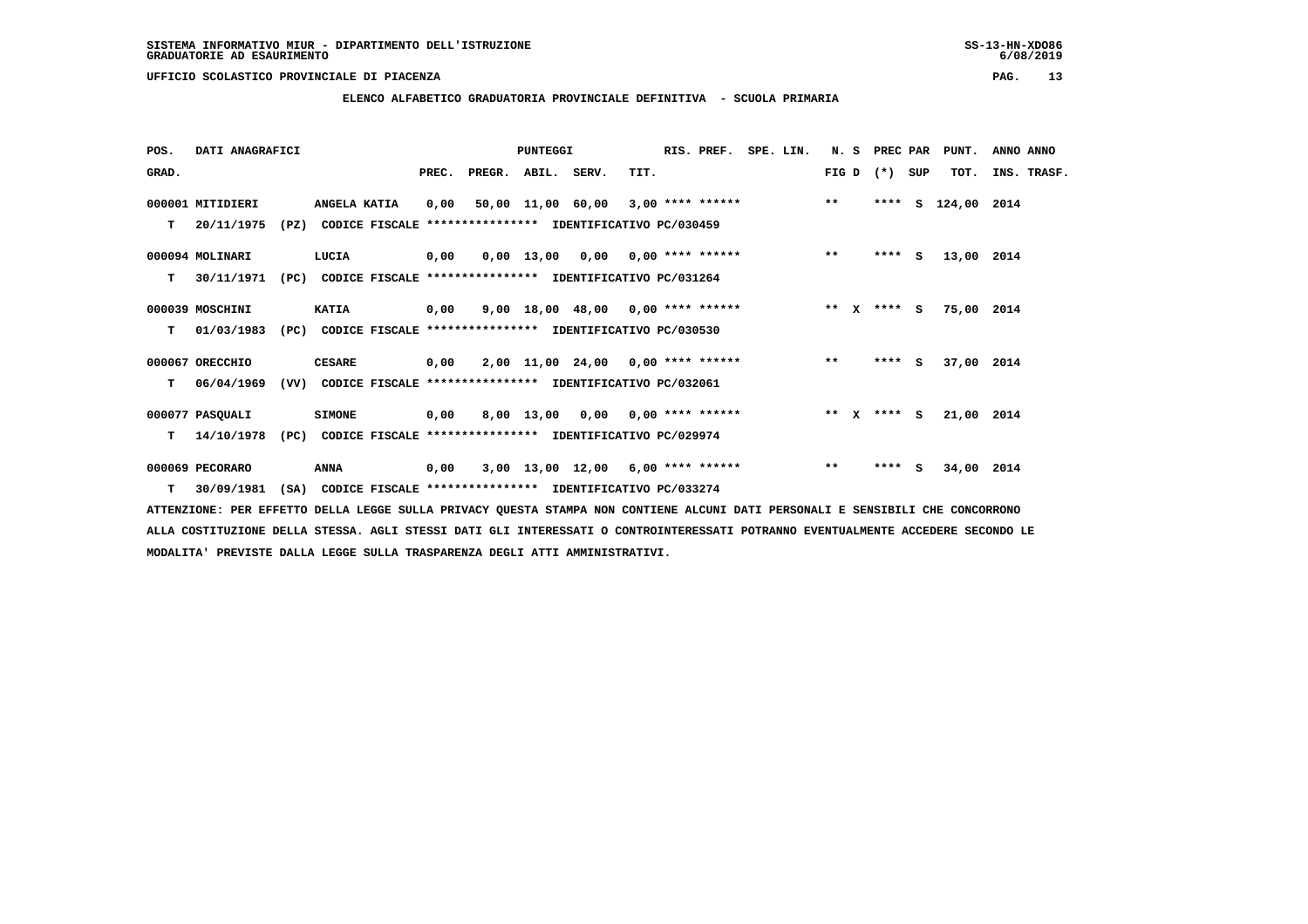## **ELENCO ALFABETICO GRADUATORIA PROVINCIALE DEFINITIVA - SCUOLA PRIMARIA**

| POS.  | DATI ANAGRAFICI  |      |                                                               | PUNTEGGI |                          |  |                                           |      | RIS. PREF. | SPE. LIN. | N. S  | PREC PAR        | PUNT.              | ANNO ANNO   |
|-------|------------------|------|---------------------------------------------------------------|----------|--------------------------|--|-------------------------------------------|------|------------|-----------|-------|-----------------|--------------------|-------------|
| GRAD. |                  |      |                                                               |          | PREC. PREGR. ABIL. SERV. |  |                                           | TIT. |            |           |       | FIG D $(*)$ SUP | TOT.               | INS. TRASF. |
|       | 000001 MITIDIERI |      | ANGELA KATIA                                                  | 0,00     |                          |  | 50,00 11,00 60,00 3,00 **** ****** *** ** |      |            |           |       |                 | **** S 124,00 2014 |             |
| т     | 20/11/1975       |      | (PZ) CODICE FISCALE **************** IDENTIFICATIVO PC/030459 |          |                          |  |                                           |      |            |           |       |                 |                    |             |
|       | 000094 MOLINARI  |      | LUCIA                                                         | 0,00     |                          |  | 0,00 13,00 0,00 0,00 **** ******          |      |            |           | $***$ | $***$ S         | 13,00 2014         |             |
| т     | 30/11/1971       | (PC) | CODICE FISCALE **************** IDENTIFICATIVO PC/031264      |          |                          |  |                                           |      |            |           |       |                 |                    |             |
|       | 000039 MOSCHINI  |      | <b>KATIA</b>                                                  | 0,00     |                          |  | $9,00$ 18,00 48,00 0,00 **** ******       |      |            |           |       | $*** x*** s$    | 75,00 2014         |             |
| т     | 01/03/1983       |      | (PC) CODICE FISCALE **************** IDENTIFICATIVO PC/030530 |          |                          |  |                                           |      |            |           |       |                 |                    |             |
|       | 000067 ORECCHIO  |      | <b>CESARE</b>                                                 | 0,00     |                          |  | 2,00 11,00 24,00 0,00 **** ******         |      |            |           | $***$ | $***$ S         | 37,00 2014         |             |
| т     | 06/04/1969       | (VV) | CODICE FISCALE **************** IDENTIFICATIVO PC/032061      |          |                          |  |                                           |      |            |           |       |                 |                    |             |
|       | 000077 PASQUALI  |      | <b>SIMONE</b>                                                 | 0,00     |                          |  | 8,00 13,00 0,00 0,00 **** ******          |      |            |           |       | $***$ X $***$ S | 21,00 2014         |             |
| т     | 14/10/1978       | (PC) | CODICE FISCALE **************** IDENTIFICATIVO PC/029974      |          |                          |  |                                           |      |            |           |       |                 |                    |             |
|       | 000069 PECORARO  |      | ANNA                                                          | 0,00     |                          |  | $3,00$ 13,00 12,00 6,00 **** ******       |      |            |           | $***$ | $***$ S         | 34,00 2014         |             |
| т     | 30/09/1981       |      | (SA) CODICE FISCALE **************** IDENTIFICATIVO PC/033274 |          |                          |  |                                           |      |            |           |       |                 |                    |             |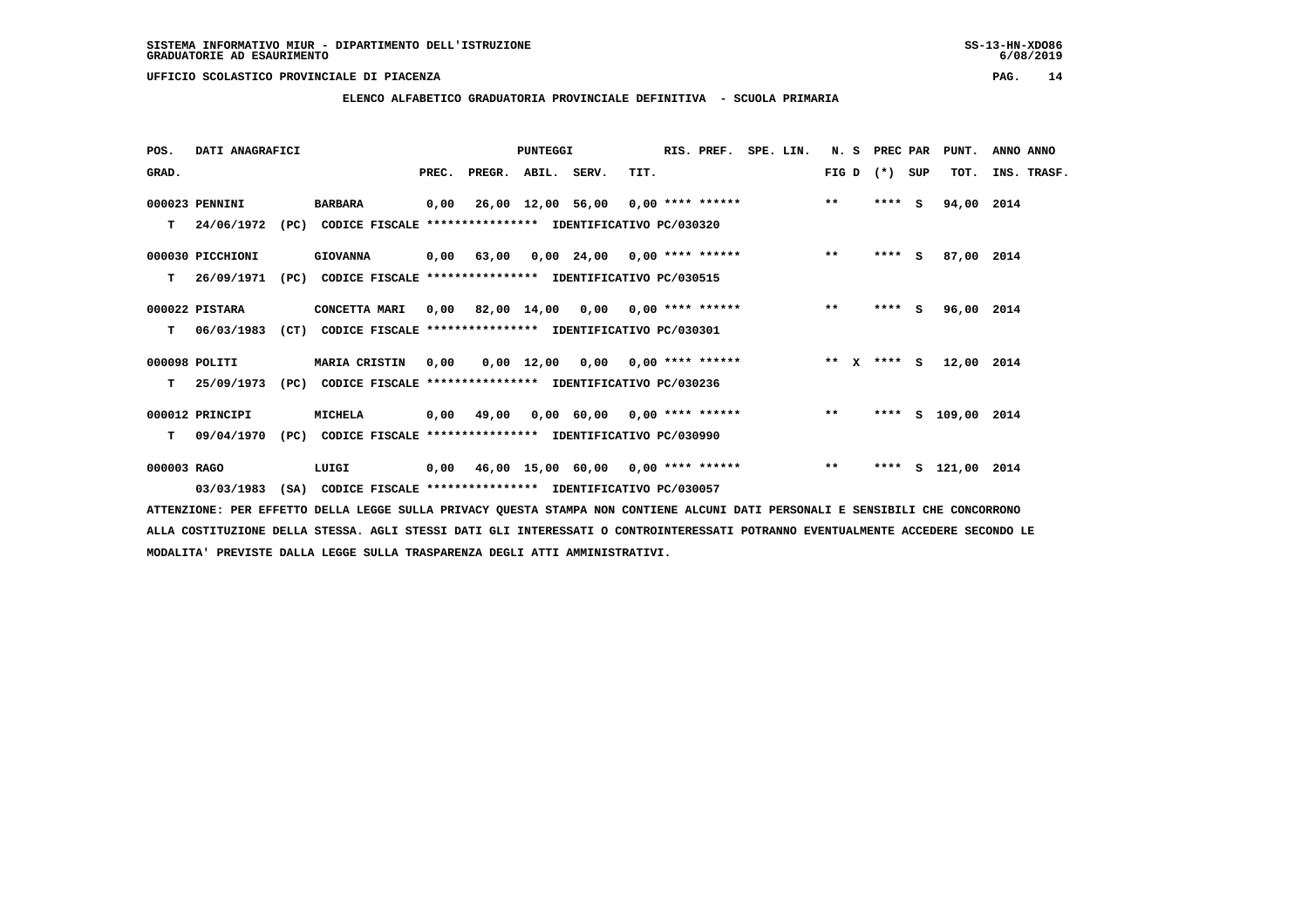## **ELENCO ALFABETICO GRADUATORIA PROVINCIALE DEFINITIVA - SCUOLA PRIMARIA**

| POS.        | DATI ANAGRAFICI  |                                                                           | PUNTEGGI |                          |  |                                                                     |      | RIS. PREF. | SPE. LIN. |                 | N. S PREC PAR | PUNT.              | ANNO ANNO   |
|-------------|------------------|---------------------------------------------------------------------------|----------|--------------------------|--|---------------------------------------------------------------------|------|------------|-----------|-----------------|---------------|--------------------|-------------|
| GRAD.       |                  |                                                                           |          | PREC. PREGR. ABIL. SERV. |  |                                                                     | TIT. |            |           | FIG D $(*)$ SUP |               | TOT.               | INS. TRASF. |
|             | 000023 PENNINI   | BARBARA                                                                   |          |                          |  | 0,00 26,00 12,00 56,00 0,00 **** ****** *** **                      |      |            |           |                 | $***5$        | 94,00 2014         |             |
|             |                  | T 24/06/1972 (PC) CODICE FISCALE *************** IDENTIFICATIVO PC/030320 |          |                          |  |                                                                     |      |            |           |                 |               |                    |             |
|             | 000030 PICCHIONI | <b>GIOVANNA</b>                                                           |          |                          |  | 0,00 63,00 0,00 24,00 0,00 **** ****** *** **                       |      |            |           |                 | $***$ S       | 87,00 2014         |             |
|             | $T = 26/09/1971$ | (PC) CODICE FISCALE **************** IDENTIFICATIVO PC/030515             |          |                          |  |                                                                     |      |            |           |                 |               |                    |             |
|             | 000022 PISTARA   | CONCETTA MARI 0,00 82,00 14,00 0,00 0,00 **** ****** ***** **             |          |                          |  |                                                                     |      |            |           |                 | $***5$        | 96,00 2014         |             |
|             | $T = 06/03/1983$ | (CT) CODICE FISCALE **************** IDENTIFICATIVO PC/030301             |          |                          |  |                                                                     |      |            |           |                 |               |                    |             |
|             | $000098$ POLITI  | <b>MARIA CRISTIN</b>                                                      |          |                          |  | 0,00 0,00 12,00 0,00 0,00 **** ****** **** *** ** **** S 12,00 2014 |      |            |           |                 |               |                    |             |
|             | $T = 25/09/1973$ | (PC) CODICE FISCALE **************** IDENTIFICATIVO PC/030236             |          |                          |  |                                                                     |      |            |           |                 |               |                    |             |
|             | 000012 PRINCIPI  | <b>MICHELA</b>                                                            |          |                          |  | 0,00 49,00 0,00 60,00 0,00 **** ****** *** **                       |      |            |           |                 |               | **** S 109,00 2014 |             |
|             |                  | T 09/04/1970 (PC) CODICE FISCALE *************** IDENTIFICATIVO PC/030990 |          |                          |  |                                                                     |      |            |           |                 |               |                    |             |
| 000003 RAGO |                  | LUIGI                                                                     |          |                          |  | 0,00 46,00 15,00 60,00 0,00 **** ****** *** **                      |      |            |           |                 |               | **** S 121,00 2014 |             |
|             | 03/03/1983       | (SA) CODICE FISCALE **************** IDENTIFICATIVO PC/030057             |          |                          |  |                                                                     |      |            |           |                 |               |                    |             |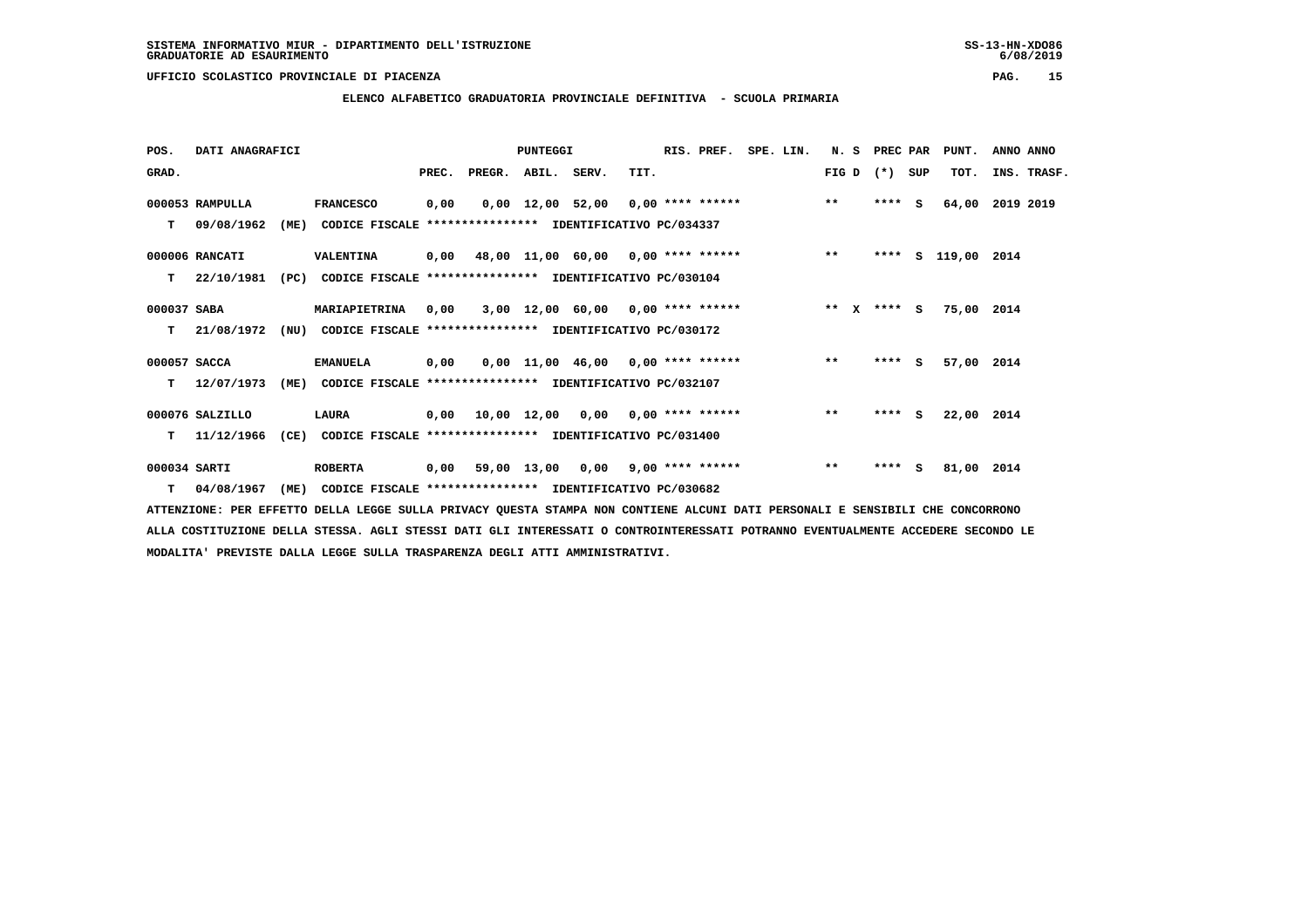**ELENCO ALFABETICO GRADUATORIA PROVINCIALE DEFINITIVA - SCUOLA PRIMARIA**

| POS.         | DATI ANAGRAFICI  |      |                                                               | <b>PUNTEGGI</b> |                    |  |                                                        |      | RIS. PREF. | SPE. LIN. | N. S         | PREC PAR |     | PUNT.              | ANNO ANNO   |  |
|--------------|------------------|------|---------------------------------------------------------------|-----------------|--------------------|--|--------------------------------------------------------|------|------------|-----------|--------------|----------|-----|--------------------|-------------|--|
| GRAD.        |                  |      |                                                               | PREC.           | PREGR. ABIL. SERV. |  |                                                        | TIT. |            |           | $FIG D (*)$  |          | SUP | TOT.               | INS. TRASF. |  |
|              | 000053 RAMPULLA  |      | <b>FRANCESCO</b>                                              | 0,00            |                    |  | $0,00$ 12,00 52,00 0,00 **** ****** *** **             |      |            |           |              | ****     | - S | 64,00              | 2019 2019   |  |
| T.           | 09/08/1962       | (ME) | CODICE FISCALE **************** IDENTIFICATIVO PC/034337      |                 |                    |  |                                                        |      |            |           |              |          |     |                    |             |  |
|              | 000006 RANCATI   |      | <b>VALENTINA</b>                                              |                 |                    |  | 0,00 48,00 11,00 60,00 0,00 **** ******                |      |            |           | $* *$        |          |     | **** S 119,00 2014 |             |  |
| т            | 22/10/1981       | (PC) | CODICE FISCALE **************** IDENTIFICATIVO PC/030104      |                 |                    |  |                                                        |      |            |           |              |          |     |                    |             |  |
| 000037 SABA  |                  |      | MARIAPIETRINA                                                 | 0,00            |                    |  | $3,00$ 12,00 60,00 0,00 **** ******                    |      |            |           | $*** x*** s$ |          |     | 75,00 2014         |             |  |
| T.           | 21/08/1972       |      | (NU) CODICE FISCALE **************** IDENTIFICATIVO PC/030172 |                 |                    |  |                                                        |      |            |           |              |          |     |                    |             |  |
| 000057 SACCA |                  |      | <b>EMANUELA</b>                                               | 0,00            |                    |  | $0.00$ 11.00 46.00 0.00 **** ******                    |      |            |           | $***$        | $***$ S  |     | 57,00 2014         |             |  |
| т            | 12/07/1973       | (ME) | CODICE FISCALE **************** IDENTIFICATIVO PC/032107      |                 |                    |  |                                                        |      |            |           |              |          |     |                    |             |  |
|              | 000076 SALZILLO  |      | LAURA                                                         |                 |                    |  | $0,00$ $10,00$ $12,00$ $0,00$ $0,00$ $***$ **** ****** |      |            |           | $***$        | $***$ S  |     | 22,00 2014         |             |  |
| т            | 11/12/1966       | (CE) | CODICE FISCALE **************** IDENTIFICATIVO PC/031400      |                 |                    |  |                                                        |      |            |           |              |          |     |                    |             |  |
| 000034 SARTI |                  |      | <b>ROBERTA</b>                                                | 0,00            |                    |  | 59,00 13,00 0,00 9,00 **** ******                      |      |            |           | $***$        | $***$ S  |     | 81,00 2014         |             |  |
|              | $T = 04/08/1967$ | (ME) | CODICE FISCALE **************** IDENTIFICATIVO PC/030682      |                 |                    |  |                                                        |      |            |           |              |          |     |                    |             |  |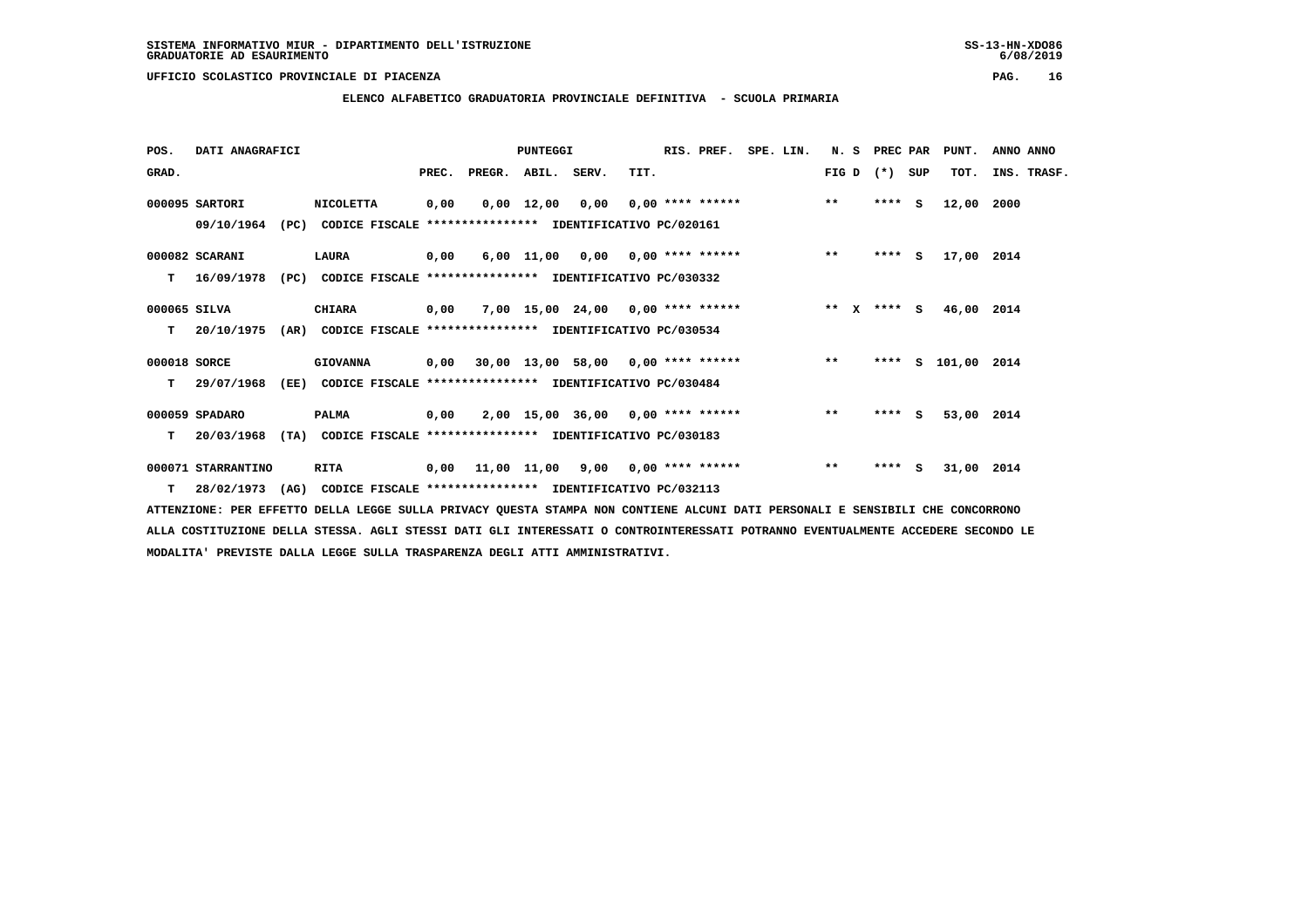## **ELENCO ALFABETICO GRADUATORIA PROVINCIALE DEFINITIVA - SCUOLA PRIMARIA**

| POS.         | DATI ANAGRAFICI    |      |                                                               | PUNTEGGI |                    |            |                                                 |      | RIS. PREF.                      | SPE. LIN. | N. S            | PREC PAR | PUNT.              | ANNO ANNO   |
|--------------|--------------------|------|---------------------------------------------------------------|----------|--------------------|------------|-------------------------------------------------|------|---------------------------------|-----------|-----------------|----------|--------------------|-------------|
| GRAD.        |                    |      |                                                               | PREC.    | PREGR. ABIL. SERV. |            |                                                 | TIT. |                                 |           | FIG D $(*)$ SUP |          | TOT.               | INS. TRASF. |
|              | 000095 SARTORI     |      | <b>NICOLETTA</b>                                              | 0,00     |                    | 0,00 12,00 |                                                 |      | $0,00$ $0,00$ **** ****** ** ** |           |                 | $***$ S  | 12,00              | 2000        |
|              | 09/10/1964         |      | (PC) CODICE FISCALE **************** IDENTIFICATIVO PC/020161 |          |                    |            |                                                 |      |                                 |           |                 |          |                    |             |
|              | 000082 SCARANI     |      | LAURA                                                         | 0,00     |                    |            | 6,00 11,00 0,00 0,00 **** ******                |      |                                 |           | $***$           | $***$ S  | 17,00 2014         |             |
| т            | 16/09/1978         | (PC) | CODICE FISCALE **************** IDENTIFICATIVO PC/030332      |          |                    |            |                                                 |      |                                 |           |                 |          |                    |             |
| 000065 SILVA |                    |      | CHIARA                                                        | 0,00     |                    |            | $7,00$ 15,00 24,00 0,00 **** ******             |      |                                 |           | $*** x*** s$    |          | 46,00 2014         |             |
| т            | 20/10/1975         | (AR) | CODICE FISCALE **************** IDENTIFICATIVO PC/030534      |          |                    |            |                                                 |      |                                 |           |                 |          |                    |             |
| 000018 SORCE |                    |      | <b>GIOVANNA</b>                                               | 0,00     |                    |            | 30,00 13,00 58,00 0,00 **** ****** *** **       |      |                                 |           |                 |          | **** S 101,00 2014 |             |
| т            | 29/07/1968         | (EE) | CODICE FISCALE **************** IDENTIFICATIVO PC/030484      |          |                    |            |                                                 |      |                                 |           |                 |          |                    |             |
|              | 000059 SPADARO     |      | <b>PALMA</b>                                                  | 0,00     |                    |            | $2,00$ 15,00 36,00 0,00 **** ******             |      |                                 |           | $***$           | $***$ S  | 53,00 2014         |             |
| т            | 20/03/1968         | (TA) | CODICE FISCALE **************** IDENTIFICATIVO PC/030183      |          |                    |            |                                                 |      |                                 |           |                 |          |                    |             |
|              | 000071 STARRANTINO |      | RITA                                                          | 0,00     |                    |            | $11,00$ $11,00$ $9,00$ $0,00$ $***$ **** ****** |      |                                 |           | $***$           | $***$ S  | 31,00 2014         |             |
| T.           | 28/02/1973         |      | (AG) CODICE FISCALE **************** IDENTIFICATIVO PC/032113 |          |                    |            |                                                 |      |                                 |           |                 |          |                    |             |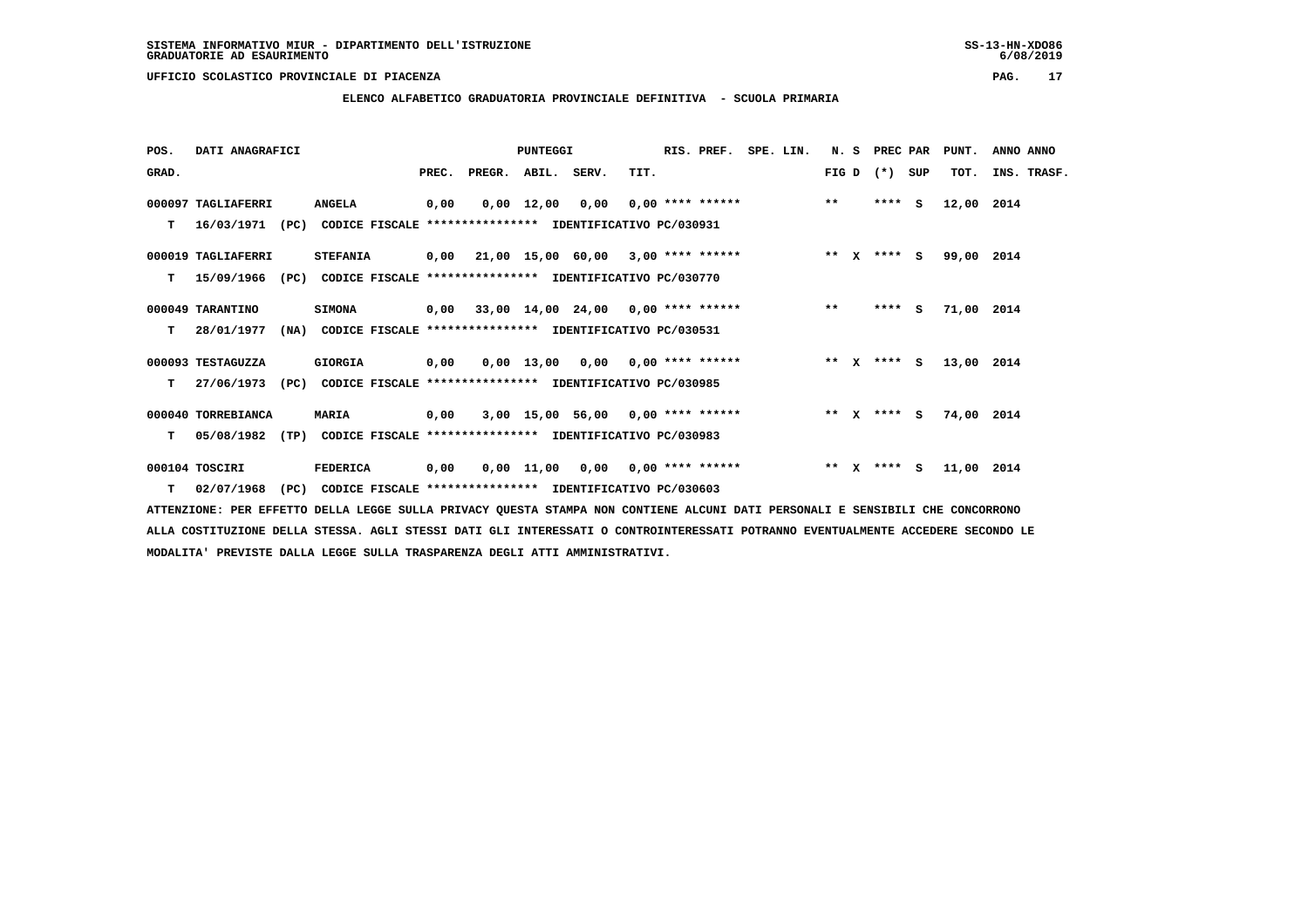## **ELENCO ALFABETICO GRADUATORIA PROVINCIALE DEFINITIVA - SCUOLA PRIMARIA**

| POS.  | DATI ANAGRAFICI    |      |                                                                          |       |                    | PUNTEGGI           |                                           |      | RIS. PREF.                | SPE. LIN. |  |       | N. S |                 | PREC PAR | PUNT.      | ANNO ANNO   |
|-------|--------------------|------|--------------------------------------------------------------------------|-------|--------------------|--------------------|-------------------------------------------|------|---------------------------|-----------|--|-------|------|-----------------|----------|------------|-------------|
| GRAD. |                    |      |                                                                          | PREC. | PREGR. ABIL. SERV. |                    |                                           | TIT. |                           |           |  |       |      | FIG D $(*)$ SUP |          | тот.       | INS. TRASF. |
|       | 000097 TAGLIAFERRI |      | <b>ANGELA</b>                                                            | 0,00  |                    | $0,00 \quad 12,00$ | 0,00                                      |      | $0,00$ **** ****** *** ** |           |  |       |      | $***$ S         |          | 12,00      | 2014        |
| т     |                    |      | 16/03/1971 (PC) CODICE FISCALE **************** IDENTIFICATIVO PC/030931 |       |                    |                    |                                           |      |                           |           |  |       |      |                 |          |            |             |
|       | 000019 TAGLIAFERRI |      | <b>STEFANIA</b>                                                          |       |                    |                    | $0,00$ 21,00 15,00 60,00 3,00 **** ****** |      |                           |           |  |       |      | ** x **** S     |          | 99,00 2014 |             |
| т     | 15/09/1966         | (PC) | CODICE FISCALE **************** IDENTIFICATIVO PC/030770                 |       |                    |                    |                                           |      |                           |           |  |       |      |                 |          |            |             |
|       | 000049 TARANTINO   |      | <b>SIMONA</b>                                                            |       |                    |                    | $0,00$ 33,00 14,00 24,00 0,00 **** ****** |      |                           |           |  | $***$ |      | $***$ S         |          | 71,00 2014 |             |
| т     | 28/01/1977         | (NA) | CODICE FISCALE **************** IDENTIFICATIVO PC/030531                 |       |                    |                    |                                           |      |                           |           |  |       |      |                 |          |            |             |
|       | 000093 TESTAGUZZA  |      | GIORGIA                                                                  | 0,00  |                    |                    | $0.00$ 13.00 0.00 0.00 **** ******        |      |                           |           |  |       |      | ** x **** S     |          | 13,00 2014 |             |
| т     | 27/06/1973         |      | (PC) CODICE FISCALE **************** IDENTIFICATIVO PC/030985            |       |                    |                    |                                           |      |                           |           |  |       |      |                 |          |            |             |
|       | 000040 TORREBIANCA |      | <b>MARIA</b>                                                             | 0,00  |                    |                    | $3,00$ 15,00 56,00 0,00 **** ******       |      |                           |           |  |       |      | ** x **** S     |          | 74,00 2014 |             |
| т     | 05/08/1982         | (TP) | CODICE FISCALE **************** IDENTIFICATIVO PC/030983                 |       |                    |                    |                                           |      |                           |           |  |       |      |                 |          |            |             |
|       | 000104 TOSCIRI     |      | <b>FEDERICA</b>                                                          | 0,00  |                    | 0,00 11,00         |                                           |      | $0,00$ $0,00$ **** ****** |           |  |       |      | ** X **** S     |          | 11,00 2014 |             |
|       | $T = 02/07/1968$   | (PC) | CODICE FISCALE **************** IDENTIFICATIVO PC/030603                 |       |                    |                    |                                           |      |                           |           |  |       |      |                 |          |            |             |